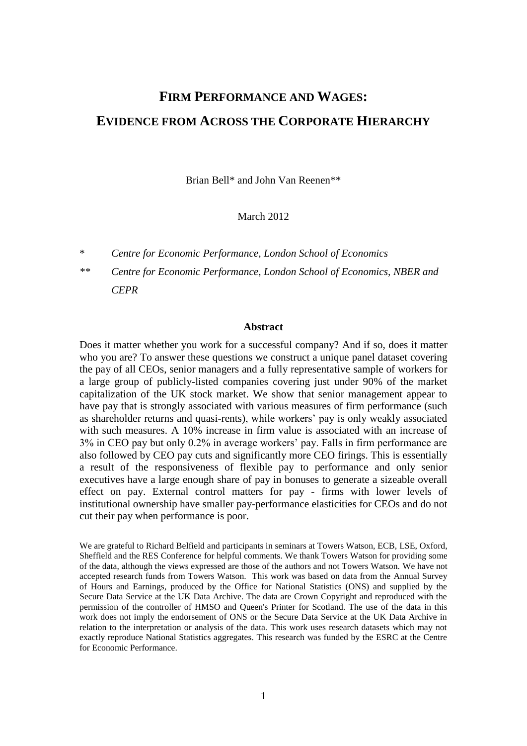# **FIRM PERFORMANCE AND WAGES: EVIDENCE FROM ACROSS THE CORPORATE HIERARCHY**

Brian Bell\* and John Van Reenen\*\*

#### March 2012

\* *Centre for Economic Performance, London School of Economics*

*\*\* Centre for Economic Performance, London School of Economics, NBER and CEPR*

#### **Abstract**

Does it matter whether you work for a successful company? And if so, does it matter who you are? To answer these questions we construct a unique panel dataset covering the pay of all CEOs, senior managers and a fully representative sample of workers for a large group of publicly-listed companies covering just under 90% of the market capitalization of the UK stock market. We show that senior management appear to have pay that is strongly associated with various measures of firm performance (such as shareholder returns and quasi-rents), while workers' pay is only weakly associated with such measures. A 10% increase in firm value is associated with an increase of 3% in CEO pay but only 0.2% in average workers' pay. Falls in firm performance are also followed by CEO pay cuts and significantly more CEO firings. This is essentially a result of the responsiveness of flexible pay to performance and only senior executives have a large enough share of pay in bonuses to generate a sizeable overall effect on pay. External control matters for pay - firms with lower levels of institutional ownership have smaller pay-performance elasticities for CEOs and do not cut their pay when performance is poor.

We are grateful to Richard Belfield and participants in seminars at Towers Watson, ECB, LSE, Oxford, Sheffield and the RES Conference for helpful comments. We thank Towers Watson for providing some of the data, although the views expressed are those of the authors and not Towers Watson. We have not accepted research funds from Towers Watson. This work was based on data from the Annual Survey of Hours and Earnings, produced by the Office for National Statistics (ONS) and supplied by the Secure Data Service at the UK Data Archive. The data are Crown Copyright and reproduced with the permission of the controller of HMSO and Queen's Printer for Scotland. The use of the data in this work does not imply the endorsement of ONS or the Secure Data Service at the UK Data Archive in relation to the interpretation or analysis of the data. This work uses research datasets which may not exactly reproduce National Statistics aggregates. This research was funded by the ESRC at the Centre for Economic Performance.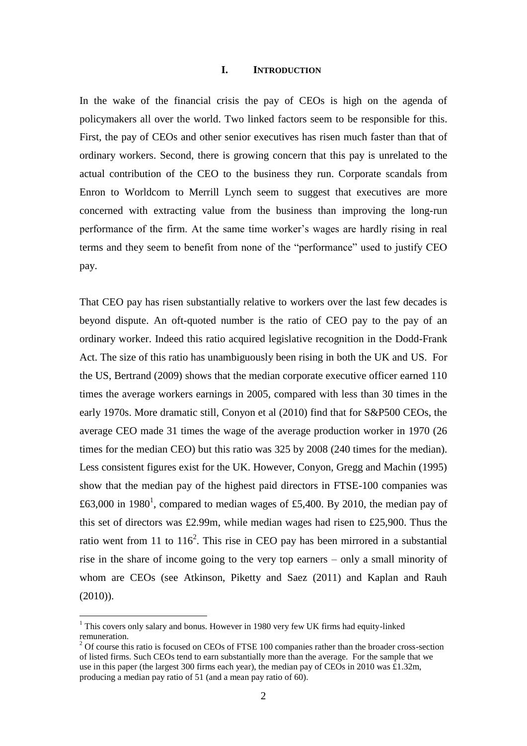#### **I. INTRODUCTION**

In the wake of the financial crisis the pay of CEOs is high on the agenda of policymakers all over the world. Two linked factors seem to be responsible for this. First, the pay of CEOs and other senior executives has risen much faster than that of ordinary workers. Second, there is growing concern that this pay is unrelated to the actual contribution of the CEO to the business they run. Corporate scandals from Enron to Worldcom to Merrill Lynch seem to suggest that executives are more concerned with extracting value from the business than improving the long-run performance of the firm. At the same time worker's wages are hardly rising in real terms and they seem to benefit from none of the "performance" used to justify CEO pay.

That CEO pay has risen substantially relative to workers over the last few decades is beyond dispute. An oft-quoted number is the ratio of CEO pay to the pay of an ordinary worker. Indeed this ratio acquired legislative recognition in the Dodd-Frank Act. The size of this ratio has unambiguously been rising in both the UK and US. For the US, Bertrand (2009) shows that the median corporate executive officer earned 110 times the average workers earnings in 2005, compared with less than 30 times in the early 1970s. More dramatic still, Conyon et al (2010) find that for S&P500 CEOs, the average CEO made 31 times the wage of the average production worker in 1970 (26 times for the median CEO) but this ratio was 325 by 2008 (240 times for the median). Less consistent figures exist for the UK. However, Conyon, Gregg and Machin (1995) show that the median pay of the highest paid directors in FTSE-100 companies was £63,000 in 1980<sup>1</sup>, compared to median wages of £5,400. By 2010, the median pay of this set of directors was £2.99m, while median wages had risen to £25,900. Thus the ratio went from 11 to  $116^2$ . This rise in CEO pay has been mirrored in a substantial rise in the share of income going to the very top earners – only a small minority of whom are CEOs (see Atkinson, Piketty and Saez (2011) and Kaplan and Rauh  $(2010)$ ).

 $1$  This covers only salary and bonus. However in 1980 very few UK firms had equity-linked remuneration.

<sup>&</sup>lt;sup>2</sup> Of course this ratio is focused on CEOs of FTSE 100 companies rather than the broader cross-section of listed firms. Such CEOs tend to earn substantially more than the average. For the sample that we use in this paper (the largest 300 firms each year), the median pay of CEOs in 2010 was £1.32m, producing a median pay ratio of 51 (and a mean pay ratio of 60).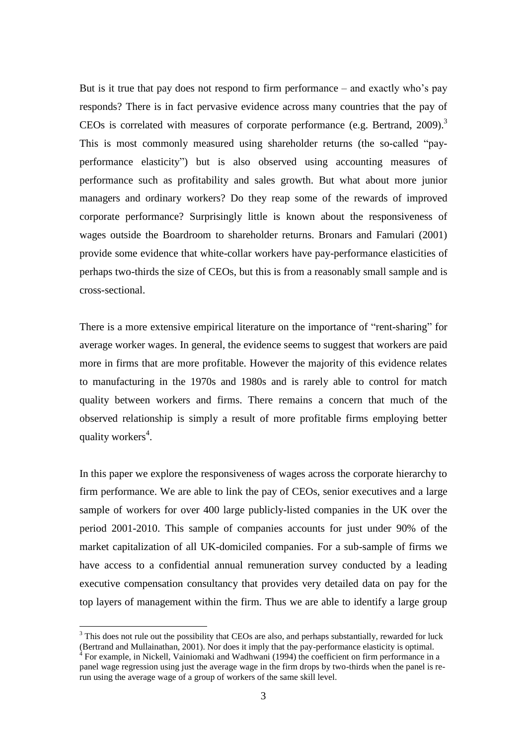But is it true that pay does not respond to firm performance – and exactly who's pay responds? There is in fact pervasive evidence across many countries that the pay of CEOs is correlated with measures of corporate performance (e.g. Bertrand, 2009).<sup>3</sup> This is most commonly measured using shareholder returns (the so-called "payperformance elasticity") but is also observed using accounting measures of performance such as profitability and sales growth. But what about more junior managers and ordinary workers? Do they reap some of the rewards of improved corporate performance? Surprisingly little is known about the responsiveness of wages outside the Boardroom to shareholder returns. Bronars and Famulari (2001) provide some evidence that white-collar workers have pay-performance elasticities of perhaps two-thirds the size of CEOs, but this is from a reasonably small sample and is cross-sectional.

There is a more extensive empirical literature on the importance of "rent-sharing" for average worker wages. In general, the evidence seems to suggest that workers are paid more in firms that are more profitable. However the majority of this evidence relates to manufacturing in the 1970s and 1980s and is rarely able to control for match quality between workers and firms. There remains a concern that much of the observed relationship is simply a result of more profitable firms employing better quality workers<sup>4</sup>.

In this paper we explore the responsiveness of wages across the corporate hierarchy to firm performance. We are able to link the pay of CEOs, senior executives and a large sample of workers for over 400 large publicly-listed companies in the UK over the period 2001-2010. This sample of companies accounts for just under 90% of the market capitalization of all UK-domiciled companies. For a sub-sample of firms we have access to a confidential annual remuneration survey conducted by a leading executive compensation consultancy that provides very detailed data on pay for the top layers of management within the firm. Thus we are able to identify a large group

 $3$  This does not rule out the possibility that CEOs are also, and perhaps substantially, rewarded for luck (Bertrand and Mullainathan, 2001). Nor does it imply that the pay-performance elasticity is optimal.

<sup>&</sup>lt;sup>4</sup> For example, in Nickell, Vainiomaki and Wadhwani (1994) the coefficient on firm performance in a panel wage regression using just the average wage in the firm drops by two-thirds when the panel is rerun using the average wage of a group of workers of the same skill level.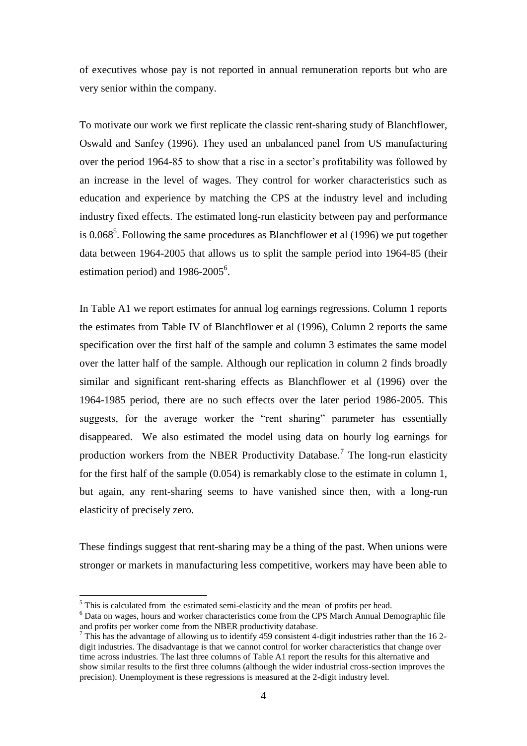of executives whose pay is not reported in annual remuneration reports but who are very senior within the company.

To motivate our work we first replicate the classic rent-sharing study of Blanchflower, Oswald and Sanfey (1996). They used an unbalanced panel from US manufacturing over the period 1964-85 to show that a rise in a sector's profitability was followed by an increase in the level of wages. They control for worker characteristics such as education and experience by matching the CPS at the industry level and including industry fixed effects. The estimated long-run elasticity between pay and performance is  $0.068<sup>5</sup>$ . Following the same procedures as Blanchflower et al (1996) we put together data between 1964-2005 that allows us to split the sample period into 1964-85 (their estimation period) and  $1986-2005^6$ .

In Table A1 we report estimates for annual log earnings regressions. Column 1 reports the estimates from Table IV of Blanchflower et al (1996), Column 2 reports the same specification over the first half of the sample and column 3 estimates the same model over the latter half of the sample. Although our replication in column 2 finds broadly similar and significant rent-sharing effects as Blanchflower et al (1996) over the 1964-1985 period, there are no such effects over the later period 1986-2005. This suggests, for the average worker the "rent sharing" parameter has essentially disappeared. We also estimated the model using data on hourly log earnings for production workers from the NBER Productivity Database.<sup>7</sup> The long-run elasticity for the first half of the sample (0.054) is remarkably close to the estimate in column 1, but again, any rent-sharing seems to have vanished since then, with a long-run elasticity of precisely zero.

These findings suggest that rent-sharing may be a thing of the past. When unions were stronger or markets in manufacturing less competitive, workers may have been able to

<sup>&</sup>lt;sup>5</sup> This is calculated from the estimated semi-elasticity and the mean of profits per head.

<sup>6</sup> Data on wages, hours and worker characteristics come from the CPS March Annual Demographic file and profits per worker come from the NBER productivity database.

<sup>&</sup>lt;sup>7</sup> This has the advantage of allowing us to identify 459 consistent 4-digit industries rather than the 16 2digit industries. The disadvantage is that we cannot control for worker characteristics that change over time across industries. The last three columns of Table A1 report the results for this alternative and show similar results to the first three columns (although the wider industrial cross-section improves the precision). Unemployment is these regressions is measured at the 2-digit industry level.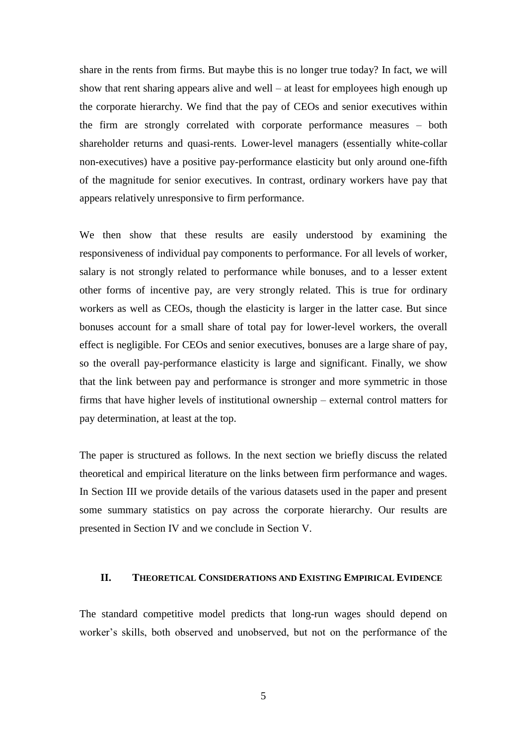share in the rents from firms. But maybe this is no longer true today? In fact, we will show that rent sharing appears alive and well – at least for employees high enough up the corporate hierarchy. We find that the pay of CEOs and senior executives within the firm are strongly correlated with corporate performance measures – both shareholder returns and quasi-rents. Lower-level managers (essentially white-collar non-executives) have a positive pay-performance elasticity but only around one-fifth of the magnitude for senior executives. In contrast, ordinary workers have pay that appears relatively unresponsive to firm performance.

We then show that these results are easily understood by examining the responsiveness of individual pay components to performance. For all levels of worker, salary is not strongly related to performance while bonuses, and to a lesser extent other forms of incentive pay, are very strongly related. This is true for ordinary workers as well as CEOs, though the elasticity is larger in the latter case. But since bonuses account for a small share of total pay for lower-level workers, the overall effect is negligible. For CEOs and senior executives, bonuses are a large share of pay, so the overall pay-performance elasticity is large and significant. Finally, we show that the link between pay and performance is stronger and more symmetric in those firms that have higher levels of institutional ownership – external control matters for pay determination, at least at the top.

The paper is structured as follows. In the next section we briefly discuss the related theoretical and empirical literature on the links between firm performance and wages. In Section III we provide details of the various datasets used in the paper and present some summary statistics on pay across the corporate hierarchy. Our results are presented in Section IV and we conclude in Section V.

## **II. THEORETICAL CONSIDERATIONS AND EXISTING EMPIRICAL EVIDENCE**

The standard competitive model predicts that long-run wages should depend on worker's skills, both observed and unobserved, but not on the performance of the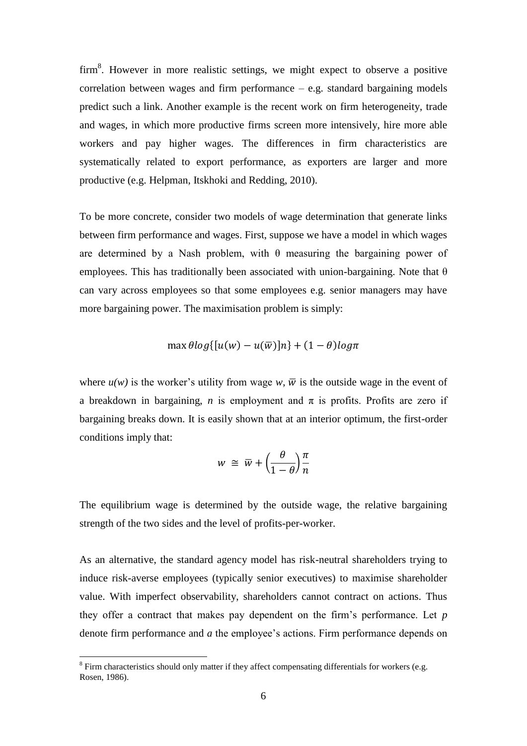$firm<sup>8</sup>$ . However in more realistic settings, we might expect to observe a positive correlation between wages and firm performance – e.g. standard bargaining models predict such a link. Another example is the recent work on firm heterogeneity, trade and wages, in which more productive firms screen more intensively, hire more able workers and pay higher wages. The differences in firm characteristics are systematically related to export performance, as exporters are larger and more productive (e.g. Helpman, Itskhoki and Redding, 2010).

To be more concrete, consider two models of wage determination that generate links between firm performance and wages. First, suppose we have a model in which wages are determined by a Nash problem, with  $\theta$  measuring the bargaining power of employees. This has traditionally been associated with union-bargaining. Note that  $\theta$ can vary across employees so that some employees e.g. senior managers may have more bargaining power. The maximisation problem is simply:

$$
\max \theta \log([u(w) - u(\overline{w})]n] + (1 - \theta) \log \pi
$$

where  $u(w)$  is the worker's utility from wage w,  $\overline{w}$  is the outside wage in the event of a breakdown in bargaining, *n* is employment and  $\pi$  is profits. Profits are zero if bargaining breaks down. It is easily shown that at an interior optimum, the first-order conditions imply that:

$$
w \cong \overline{w} + \left(\frac{\theta}{1-\theta}\right)\frac{\pi}{n}
$$

The equilibrium wage is determined by the outside wage, the relative bargaining strength of the two sides and the level of profits-per-worker.

As an alternative, the standard agency model has risk-neutral shareholders trying to induce risk-averse employees (typically senior executives) to maximise shareholder value. With imperfect observability, shareholders cannot contract on actions. Thus they offer a contract that makes pay dependent on the firm's performance. Let *p* denote firm performance and *a* the employee's actions. Firm performance depends on

 $8$  Firm characteristics should only matter if they affect compensating differentials for workers (e.g. Rosen, 1986).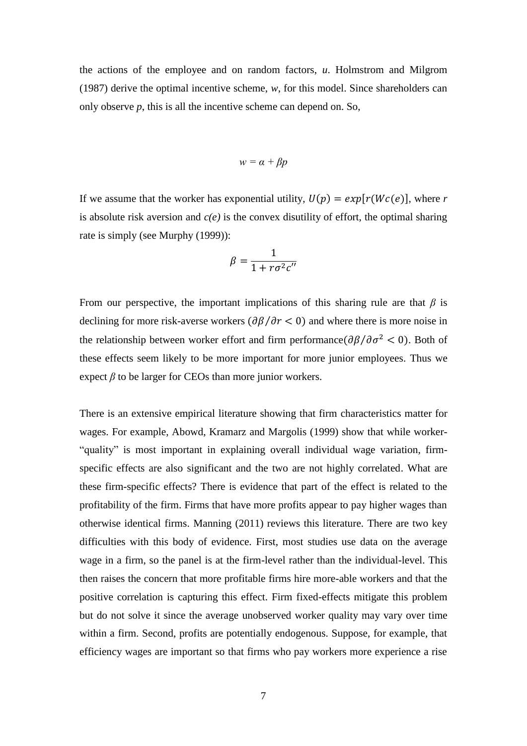the actions of the employee and on random factors, *u*. Holmstrom and Milgrom (1987) derive the optimal incentive scheme, *w*, for this model. Since shareholders can only observe *p*, this is all the incentive scheme can depend on. So,

$$
w=\alpha+\beta p
$$

If we assume that the worker has exponential utility,  $U(p) = exp[r(Wc(e))]$ , where *r* is absolute risk aversion and *c(e)* is the convex disutility of effort, the optimal sharing rate is simply (see Murphy (1999)):

$$
\beta = \frac{1}{1 + r \sigma^2 c^{\prime \prime}}
$$

From our perspective, the important implications of this sharing rule are that  $\beta$  is declining for more risk-averse workers  $\left(\frac{\partial \beta}{\partial r}\right)$  and where there is more noise in the relationship between worker effort and firm performance  $\left(\frac{\partial \beta}{\partial \sigma^2} < 0\right)$ . Both of these effects seem likely to be more important for more junior employees. Thus we expect  $\beta$  to be larger for CEOs than more junior workers.

There is an extensive empirical literature showing that firm characteristics matter for wages. For example, Abowd, Kramarz and Margolis (1999) show that while worker- "quality" is most important in explaining overall individual wage variation, firmspecific effects are also significant and the two are not highly correlated. What are these firm-specific effects? There is evidence that part of the effect is related to the profitability of the firm. Firms that have more profits appear to pay higher wages than otherwise identical firms. Manning (2011) reviews this literature. There are two key difficulties with this body of evidence. First, most studies use data on the average wage in a firm, so the panel is at the firm-level rather than the individual-level. This then raises the concern that more profitable firms hire more-able workers and that the positive correlation is capturing this effect. Firm fixed-effects mitigate this problem but do not solve it since the average unobserved worker quality may vary over time within a firm. Second, profits are potentially endogenous. Suppose, for example, that efficiency wages are important so that firms who pay workers more experience a rise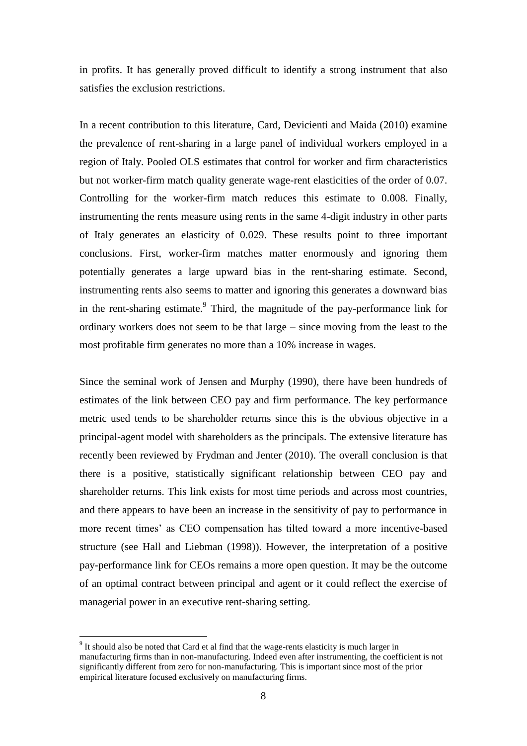in profits. It has generally proved difficult to identify a strong instrument that also satisfies the exclusion restrictions.

In a recent contribution to this literature, Card, Devicienti and Maida (2010) examine the prevalence of rent-sharing in a large panel of individual workers employed in a region of Italy. Pooled OLS estimates that control for worker and firm characteristics but not worker-firm match quality generate wage-rent elasticities of the order of 0.07. Controlling for the worker-firm match reduces this estimate to 0.008. Finally, instrumenting the rents measure using rents in the same 4-digit industry in other parts of Italy generates an elasticity of 0.029. These results point to three important conclusions. First, worker-firm matches matter enormously and ignoring them potentially generates a large upward bias in the rent-sharing estimate. Second, instrumenting rents also seems to matter and ignoring this generates a downward bias in the rent-sharing estimate.<sup>9</sup> Third, the magnitude of the pay-performance link for ordinary workers does not seem to be that large – since moving from the least to the most profitable firm generates no more than a 10% increase in wages.

Since the seminal work of Jensen and Murphy (1990), there have been hundreds of estimates of the link between CEO pay and firm performance. The key performance metric used tends to be shareholder returns since this is the obvious objective in a principal-agent model with shareholders as the principals. The extensive literature has recently been reviewed by Frydman and Jenter (2010). The overall conclusion is that there is a positive, statistically significant relationship between CEO pay and shareholder returns. This link exists for most time periods and across most countries, and there appears to have been an increase in the sensitivity of pay to performance in more recent times' as CEO compensation has tilted toward a more incentive-based structure (see Hall and Liebman (1998)). However, the interpretation of a positive pay-performance link for CEOs remains a more open question. It may be the outcome of an optimal contract between principal and agent or it could reflect the exercise of managerial power in an executive rent-sharing setting.

 $9<sup>9</sup>$  It should also be noted that Card et al find that the wage-rents elasticity is much larger in manufacturing firms than in non-manufacturing. Indeed even after instrumenting, the coefficient is not significantly different from zero for non-manufacturing. This is important since most of the prior empirical literature focused exclusively on manufacturing firms.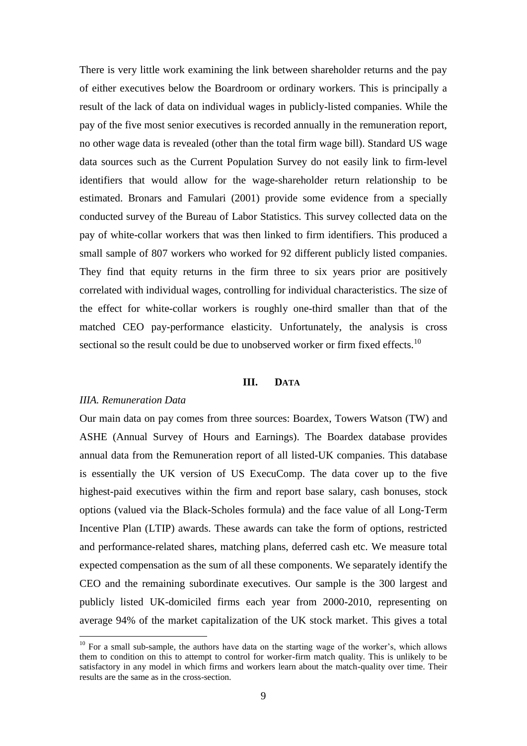There is very little work examining the link between shareholder returns and the pay of either executives below the Boardroom or ordinary workers. This is principally a result of the lack of data on individual wages in publicly-listed companies. While the pay of the five most senior executives is recorded annually in the remuneration report, no other wage data is revealed (other than the total firm wage bill). Standard US wage data sources such as the Current Population Survey do not easily link to firm-level identifiers that would allow for the wage-shareholder return relationship to be estimated. Bronars and Famulari (2001) provide some evidence from a specially conducted survey of the Bureau of Labor Statistics. This survey collected data on the pay of white-collar workers that was then linked to firm identifiers. This produced a small sample of 807 workers who worked for 92 different publicly listed companies. They find that equity returns in the firm three to six years prior are positively correlated with individual wages, controlling for individual characteristics. The size of the effect for white-collar workers is roughly one-third smaller than that of the matched CEO pay-performance elasticity. Unfortunately, the analysis is cross sectional so the result could be due to unobserved worker or firm fixed effects.<sup>10</sup>

## **III. DATA**

#### *IIIA. Remuneration Data*

 $\overline{a}$ 

Our main data on pay comes from three sources: Boardex, Towers Watson (TW) and ASHE (Annual Survey of Hours and Earnings). The Boardex database provides annual data from the Remuneration report of all listed-UK companies. This database is essentially the UK version of US ExecuComp. The data cover up to the five highest-paid executives within the firm and report base salary, cash bonuses, stock options (valued via the Black-Scholes formula) and the face value of all Long-Term Incentive Plan (LTIP) awards. These awards can take the form of options, restricted and performance-related shares, matching plans, deferred cash etc. We measure total expected compensation as the sum of all these components. We separately identify the CEO and the remaining subordinate executives. Our sample is the 300 largest and publicly listed UK-domiciled firms each year from 2000-2010, representing on average 94% of the market capitalization of the UK stock market. This gives a total

 $10$  For a small sub-sample, the authors have data on the starting wage of the worker's, which allows them to condition on this to attempt to control for worker-firm match quality. This is unlikely to be satisfactory in any model in which firms and workers learn about the match-quality over time. Their results are the same as in the cross-section.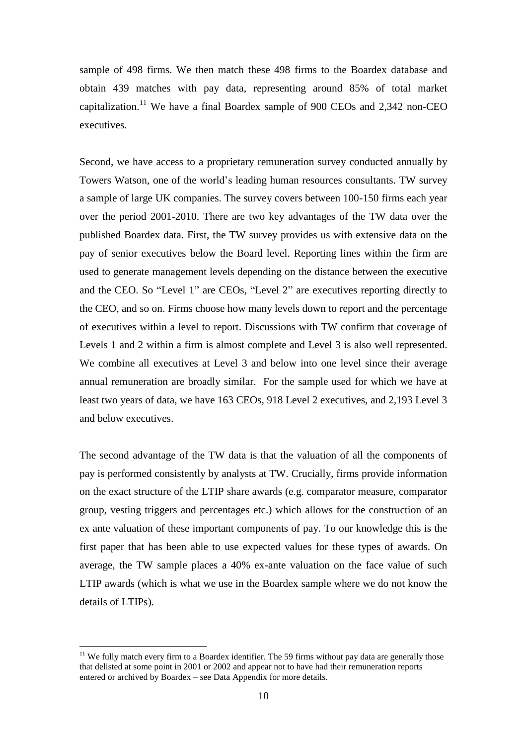sample of 498 firms. We then match these 498 firms to the Boardex database and obtain 439 matches with pay data, representing around 85% of total market capitalization.<sup>11</sup> We have a final Boardex sample of 900 CEOs and 2,342 non-CEO executives.

Second, we have access to a proprietary remuneration survey conducted annually by Towers Watson, one of the world's leading human resources consultants. TW survey a sample of large UK companies. The survey covers between 100-150 firms each year over the period 2001-2010. There are two key advantages of the TW data over the published Boardex data. First, the TW survey provides us with extensive data on the pay of senior executives below the Board level. Reporting lines within the firm are used to generate management levels depending on the distance between the executive and the CEO. So "Level 1" are CEOs, "Level 2" are executives reporting directly to the CEO, and so on. Firms choose how many levels down to report and the percentage of executives within a level to report. Discussions with TW confirm that coverage of Levels 1 and 2 within a firm is almost complete and Level 3 is also well represented. We combine all executives at Level 3 and below into one level since their average annual remuneration are broadly similar. For the sample used for which we have at least two years of data, we have 163 CEOs, 918 Level 2 executives, and 2,193 Level 3 and below executives.

The second advantage of the TW data is that the valuation of all the components of pay is performed consistently by analysts at TW. Crucially, firms provide information on the exact structure of the LTIP share awards (e.g. comparator measure, comparator group, vesting triggers and percentages etc.) which allows for the construction of an ex ante valuation of these important components of pay. To our knowledge this is the first paper that has been able to use expected values for these types of awards. On average, the TW sample places a 40% ex-ante valuation on the face value of such LTIP awards (which is what we use in the Boardex sample where we do not know the details of LTIPs).

 $11$  We fully match every firm to a Boardex identifier. The 59 firms without pay data are generally those that delisted at some point in 2001 or 2002 and appear not to have had their remuneration reports entered or archived by Boardex – see Data Appendix for more details.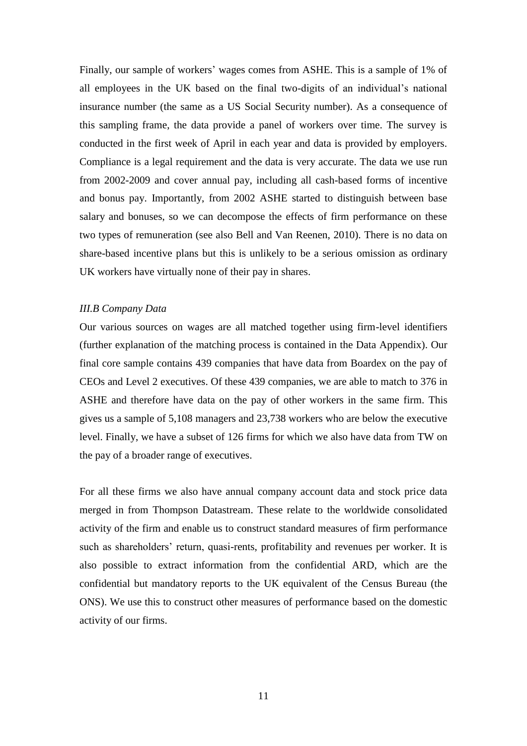Finally, our sample of workers' wages comes from ASHE. This is a sample of 1% of all employees in the UK based on the final two-digits of an individual's national insurance number (the same as a US Social Security number). As a consequence of this sampling frame, the data provide a panel of workers over time. The survey is conducted in the first week of April in each year and data is provided by employers. Compliance is a legal requirement and the data is very accurate. The data we use run from 2002-2009 and cover annual pay, including all cash-based forms of incentive and bonus pay. Importantly, from 2002 ASHE started to distinguish between base salary and bonuses, so we can decompose the effects of firm performance on these two types of remuneration (see also Bell and Van Reenen, 2010). There is no data on share-based incentive plans but this is unlikely to be a serious omission as ordinary UK workers have virtually none of their pay in shares.

#### *III.B Company Data*

Our various sources on wages are all matched together using firm-level identifiers (further explanation of the matching process is contained in the Data Appendix). Our final core sample contains 439 companies that have data from Boardex on the pay of CEOs and Level 2 executives. Of these 439 companies, we are able to match to 376 in ASHE and therefore have data on the pay of other workers in the same firm. This gives us a sample of 5,108 managers and 23,738 workers who are below the executive level. Finally, we have a subset of 126 firms for which we also have data from TW on the pay of a broader range of executives.

For all these firms we also have annual company account data and stock price data merged in from Thompson Datastream. These relate to the worldwide consolidated activity of the firm and enable us to construct standard measures of firm performance such as shareholders' return, quasi-rents, profitability and revenues per worker. It is also possible to extract information from the confidential ARD, which are the confidential but mandatory reports to the UK equivalent of the Census Bureau (the ONS). We use this to construct other measures of performance based on the domestic activity of our firms.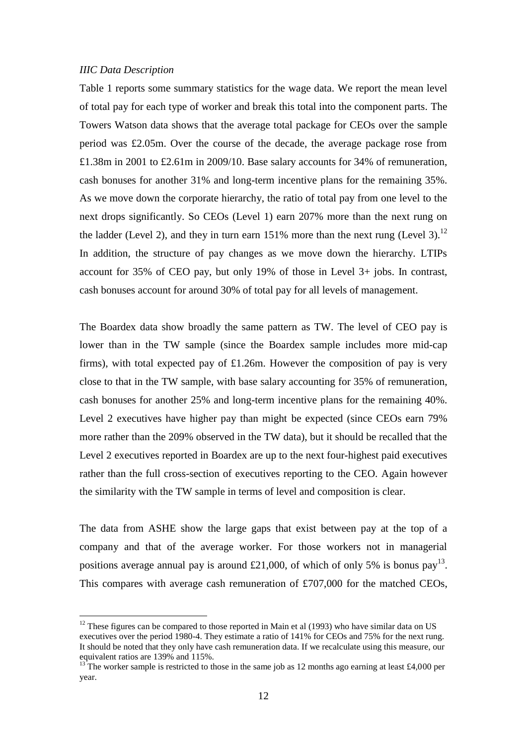## *IIIC Data Description*

 $\overline{a}$ 

Table 1 reports some summary statistics for the wage data. We report the mean level of total pay for each type of worker and break this total into the component parts. The Towers Watson data shows that the average total package for CEOs over the sample period was £2.05m. Over the course of the decade, the average package rose from £1.38m in 2001 to £2.61m in 2009/10. Base salary accounts for 34% of remuneration, cash bonuses for another 31% and long-term incentive plans for the remaining 35%. As we move down the corporate hierarchy, the ratio of total pay from one level to the next drops significantly. So CEOs (Level 1) earn 207% more than the next rung on the ladder (Level 2), and they in turn earn  $151\%$  more than the next rung (Level 3).<sup>12</sup> In addition, the structure of pay changes as we move down the hierarchy. LTIPs account for 35% of CEO pay, but only 19% of those in Level 3+ jobs. In contrast, cash bonuses account for around 30% of total pay for all levels of management.

The Boardex data show broadly the same pattern as TW. The level of CEO pay is lower than in the TW sample (since the Boardex sample includes more mid-cap firms), with total expected pay of £1.26m. However the composition of pay is very close to that in the TW sample, with base salary accounting for 35% of remuneration, cash bonuses for another 25% and long-term incentive plans for the remaining 40%. Level 2 executives have higher pay than might be expected (since CEOs earn 79% more rather than the 209% observed in the TW data), but it should be recalled that the Level 2 executives reported in Boardex are up to the next four-highest paid executives rather than the full cross-section of executives reporting to the CEO. Again however the similarity with the TW sample in terms of level and composition is clear.

The data from ASHE show the large gaps that exist between pay at the top of a company and that of the average worker. For those workers not in managerial positions average annual pay is around £21,000, of which of only 5% is bonus pay<sup>13</sup>. This compares with average cash remuneration of £707,000 for the matched CEOs,

 $12$  These figures can be compared to those reported in Main et al (1993) who have similar data on US executives over the period 1980-4. They estimate a ratio of 141% for CEOs and 75% for the next rung. It should be noted that they only have cash remuneration data. If we recalculate using this measure, our equivalent ratios are 139% and 115%.

<sup>&</sup>lt;sup>13</sup> The worker sample is restricted to those in the same job as 12 months ago earning at least £4,000 per year.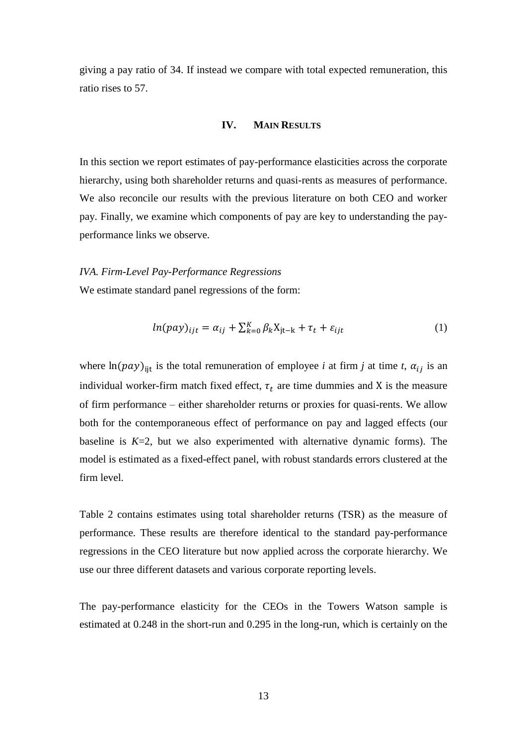giving a pay ratio of 34. If instead we compare with total expected remuneration, this ratio rises to 57.

## **IV. MAIN RESULTS**

In this section we report estimates of pay-performance elasticities across the corporate hierarchy, using both shareholder returns and quasi-rents as measures of performance. We also reconcile our results with the previous literature on both CEO and worker pay. Finally, we examine which components of pay are key to understanding the payperformance links we observe.

#### *IVA. Firm-Level Pay-Performance Regressions*

We estimate standard panel regressions of the form:

$$
ln(pay)_{ijt} = \alpha_{ij} + \sum_{k=0}^{K} \beta_k X_{jt-k} + \tau_t + \varepsilon_{ijt}
$$
 (1)

where  $\ln(pay)_{\text{lit}}$  is the total remuneration of employee *i* at firm *j* at time *t*,  $\alpha_{ij}$  is an individual worker-firm match fixed effect,  $\tau_t$  are time dummies and X is the measure of firm performance – either shareholder returns or proxies for quasi-rents. We allow both for the contemporaneous effect of performance on pay and lagged effects (our baseline is  $K=2$ , but we also experimented with alternative dynamic forms). The model is estimated as a fixed-effect panel, with robust standards errors clustered at the firm level.

Table 2 contains estimates using total shareholder returns (TSR) as the measure of performance. These results are therefore identical to the standard pay-performance regressions in the CEO literature but now applied across the corporate hierarchy. We use our three different datasets and various corporate reporting levels.

The pay-performance elasticity for the CEOs in the Towers Watson sample is estimated at 0.248 in the short-run and 0.295 in the long-run, which is certainly on the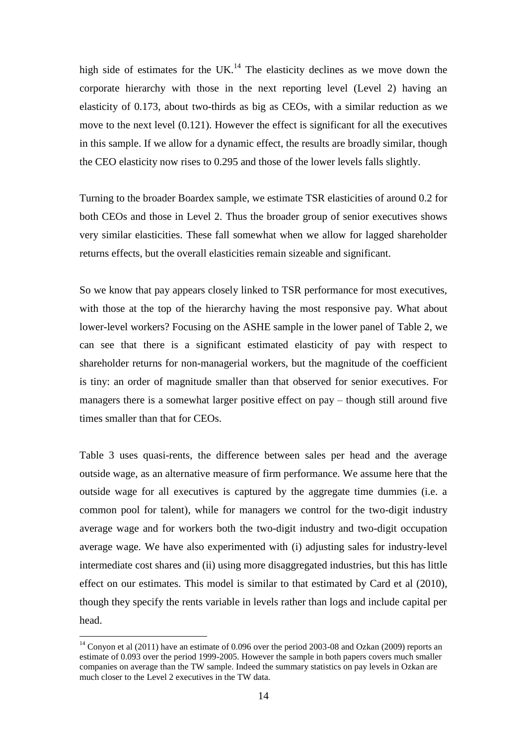high side of estimates for the UK.<sup>14</sup> The elasticity declines as we move down the corporate hierarchy with those in the next reporting level (Level 2) having an elasticity of 0.173, about two-thirds as big as CEOs, with a similar reduction as we move to the next level (0.121). However the effect is significant for all the executives in this sample. If we allow for a dynamic effect, the results are broadly similar, though the CEO elasticity now rises to 0.295 and those of the lower levels falls slightly.

Turning to the broader Boardex sample, we estimate TSR elasticities of around 0.2 for both CEOs and those in Level 2. Thus the broader group of senior executives shows very similar elasticities. These fall somewhat when we allow for lagged shareholder returns effects, but the overall elasticities remain sizeable and significant.

So we know that pay appears closely linked to TSR performance for most executives, with those at the top of the hierarchy having the most responsive pay. What about lower-level workers? Focusing on the ASHE sample in the lower panel of Table 2, we can see that there is a significant estimated elasticity of pay with respect to shareholder returns for non-managerial workers, but the magnitude of the coefficient is tiny: an order of magnitude smaller than that observed for senior executives. For managers there is a somewhat larger positive effect on pay – though still around five times smaller than that for CEOs.

Table 3 uses quasi-rents, the difference between sales per head and the average outside wage, as an alternative measure of firm performance. We assume here that the outside wage for all executives is captured by the aggregate time dummies (i.e. a common pool for talent), while for managers we control for the two-digit industry average wage and for workers both the two-digit industry and two-digit occupation average wage. We have also experimented with (i) adjusting sales for industry-level intermediate cost shares and (ii) using more disaggregated industries, but this has little effect on our estimates. This model is similar to that estimated by Card et al (2010), though they specify the rents variable in levels rather than logs and include capital per head.

 $14$  Convon et al (2011) have an estimate of 0.096 over the period 2003-08 and Ozkan (2009) reports an estimate of 0.093 over the period 1999-2005. However the sample in both papers covers much smaller companies on average than the TW sample. Indeed the summary statistics on pay levels in Ozkan are much closer to the Level 2 executives in the TW data.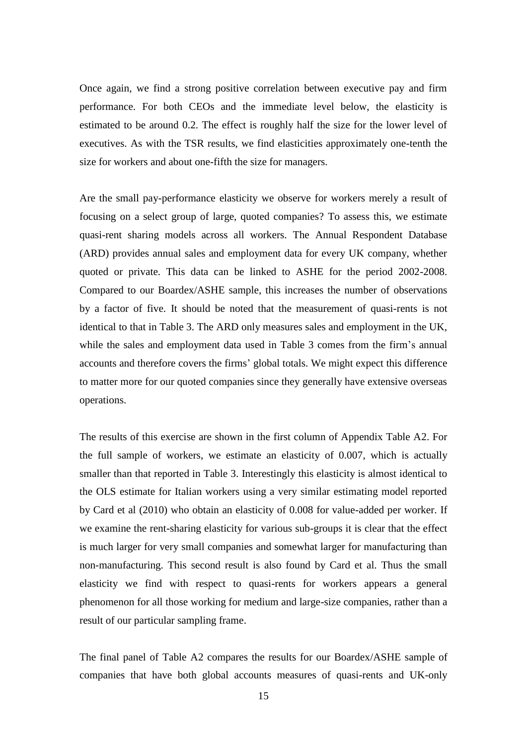Once again, we find a strong positive correlation between executive pay and firm performance. For both CEOs and the immediate level below, the elasticity is estimated to be around 0.2. The effect is roughly half the size for the lower level of executives. As with the TSR results, we find elasticities approximately one-tenth the size for workers and about one-fifth the size for managers.

Are the small pay-performance elasticity we observe for workers merely a result of focusing on a select group of large, quoted companies? To assess this, we estimate quasi-rent sharing models across all workers. The Annual Respondent Database (ARD) provides annual sales and employment data for every UK company, whether quoted or private. This data can be linked to ASHE for the period 2002-2008. Compared to our Boardex/ASHE sample, this increases the number of observations by a factor of five. It should be noted that the measurement of quasi-rents is not identical to that in Table 3. The ARD only measures sales and employment in the UK, while the sales and employment data used in Table 3 comes from the firm's annual accounts and therefore covers the firms' global totals. We might expect this difference to matter more for our quoted companies since they generally have extensive overseas operations.

The results of this exercise are shown in the first column of Appendix Table A2. For the full sample of workers, we estimate an elasticity of 0.007, which is actually smaller than that reported in Table 3. Interestingly this elasticity is almost identical to the OLS estimate for Italian workers using a very similar estimating model reported by Card et al (2010) who obtain an elasticity of 0.008 for value-added per worker. If we examine the rent-sharing elasticity for various sub-groups it is clear that the effect is much larger for very small companies and somewhat larger for manufacturing than non-manufacturing. This second result is also found by Card et al. Thus the small elasticity we find with respect to quasi-rents for workers appears a general phenomenon for all those working for medium and large-size companies, rather than a result of our particular sampling frame.

The final panel of Table A2 compares the results for our Boardex/ASHE sample of companies that have both global accounts measures of quasi-rents and UK-only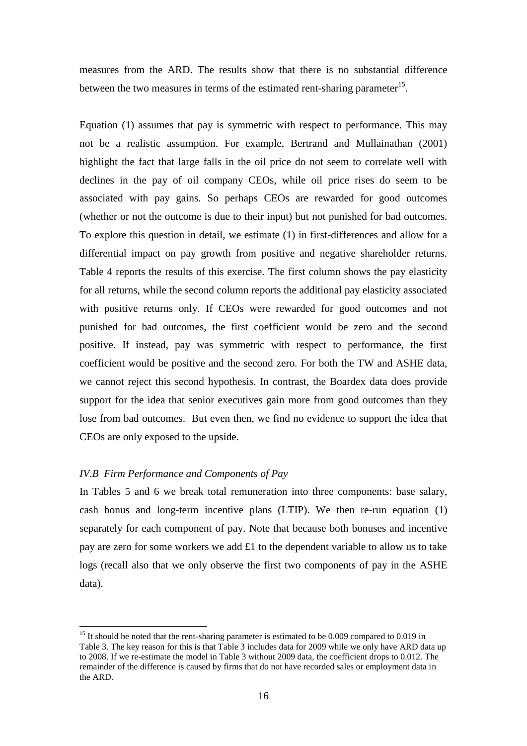measures from the ARD. The results show that there is no substantial difference between the two measures in terms of the estimated rent-sharing parameter<sup>15</sup>.

Equation (1) assumes that pay is symmetric with respect to performance. This may not be a realistic assumption. For example, Bertrand and Mullainathan (2001) highlight the fact that large falls in the oil price do not seem to correlate well with declines in the pay of oil company CEOs, while oil price rises do seem to be associated with pay gains. So perhaps CEOs are rewarded for good outcomes (whether or not the outcome is due to their input) but not punished for bad outcomes. To explore this question in detail, we estimate (1) in first-differences and allow for a differential impact on pay growth from positive and negative shareholder returns. Table 4 reports the results of this exercise. The first column shows the pay elasticity for all returns, while the second column reports the additional pay elasticity associated with positive returns only. If CEOs were rewarded for good outcomes and not punished for bad outcomes, the first coefficient would be zero and the second positive. If instead, pay was symmetric with respect to performance, the first coefficient would be positive and the second zero. For both the TW and ASHE data, we cannot reject this second hypothesis. In contrast, the Boardex data does provide support for the idea that senior executives gain more from good outcomes than they lose from bad outcomes. But even then, we find no evidence to support the idea that CEOs are only exposed to the upside.

## *IV.B Firm Performance and Components of Pay*

 $\overline{a}$ 

In Tables 5 and 6 we break total remuneration into three components: base salary, cash bonus and long-term incentive plans (LTIP). We then re-run equation (1) separately for each component of pay. Note that because both bonuses and incentive pay are zero for some workers we add £1 to the dependent variable to allow us to take logs (recall also that we only observe the first two components of pay in the ASHE data).

 $15$  It should be noted that the rent-sharing parameter is estimated to be 0.009 compared to 0.019 in Table 3. The key reason for this is that Table 3 includes data for 2009 while we only have ARD data up to 2008. If we re-estimate the model in Table 3 without 2009 data, the coefficient drops to 0.012. The remainder of the difference is caused by firms that do not have recorded sales or employment data in the ARD.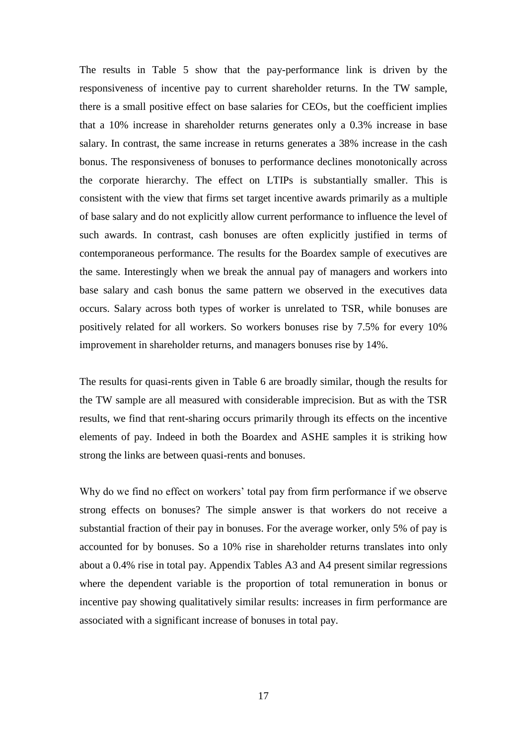The results in Table 5 show that the pay-performance link is driven by the responsiveness of incentive pay to current shareholder returns. In the TW sample, there is a small positive effect on base salaries for CEOs, but the coefficient implies that a 10% increase in shareholder returns generates only a 0.3% increase in base salary. In contrast, the same increase in returns generates a 38% increase in the cash bonus. The responsiveness of bonuses to performance declines monotonically across the corporate hierarchy. The effect on LTIPs is substantially smaller. This is consistent with the view that firms set target incentive awards primarily as a multiple of base salary and do not explicitly allow current performance to influence the level of such awards. In contrast, cash bonuses are often explicitly justified in terms of contemporaneous performance. The results for the Boardex sample of executives are the same. Interestingly when we break the annual pay of managers and workers into base salary and cash bonus the same pattern we observed in the executives data occurs. Salary across both types of worker is unrelated to TSR, while bonuses are positively related for all workers. So workers bonuses rise by 7.5% for every 10% improvement in shareholder returns, and managers bonuses rise by 14%.

The results for quasi-rents given in Table 6 are broadly similar, though the results for the TW sample are all measured with considerable imprecision. But as with the TSR results, we find that rent-sharing occurs primarily through its effects on the incentive elements of pay. Indeed in both the Boardex and ASHE samples it is striking how strong the links are between quasi-rents and bonuses.

Why do we find no effect on workers' total pay from firm performance if we observe strong effects on bonuses? The simple answer is that workers do not receive a substantial fraction of their pay in bonuses. For the average worker, only 5% of pay is accounted for by bonuses. So a 10% rise in shareholder returns translates into only about a 0.4% rise in total pay. Appendix Tables A3 and A4 present similar regressions where the dependent variable is the proportion of total remuneration in bonus or incentive pay showing qualitatively similar results: increases in firm performance are associated with a significant increase of bonuses in total pay.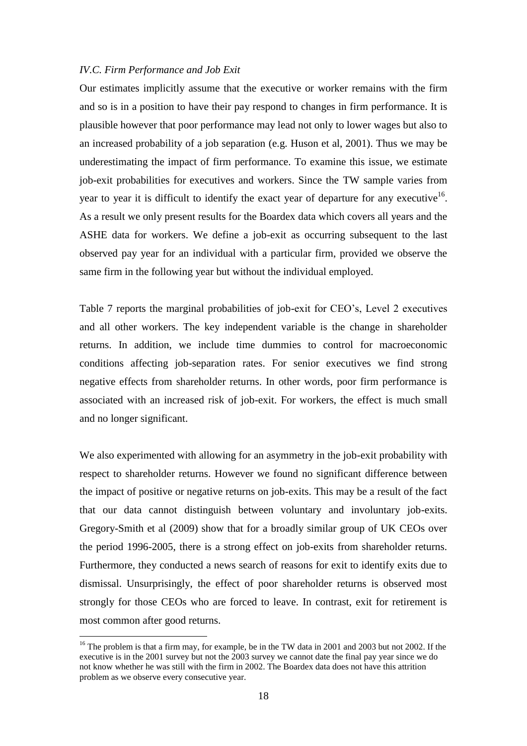#### *IV.C. Firm Performance and Job Exit*

Our estimates implicitly assume that the executive or worker remains with the firm and so is in a position to have their pay respond to changes in firm performance. It is plausible however that poor performance may lead not only to lower wages but also to an increased probability of a job separation (e.g. Huson et al, 2001). Thus we may be underestimating the impact of firm performance. To examine this issue, we estimate job-exit probabilities for executives and workers. Since the TW sample varies from year to year it is difficult to identify the exact year of departure for any executive $16$ . As a result we only present results for the Boardex data which covers all years and the ASHE data for workers. We define a job-exit as occurring subsequent to the last observed pay year for an individual with a particular firm, provided we observe the same firm in the following year but without the individual employed.

Table 7 reports the marginal probabilities of job-exit for CEO's, Level 2 executives and all other workers. The key independent variable is the change in shareholder returns. In addition, we include time dummies to control for macroeconomic conditions affecting job-separation rates. For senior executives we find strong negative effects from shareholder returns. In other words, poor firm performance is associated with an increased risk of job-exit. For workers, the effect is much small and no longer significant.

We also experimented with allowing for an asymmetry in the job-exit probability with respect to shareholder returns. However we found no significant difference between the impact of positive or negative returns on job-exits. This may be a result of the fact that our data cannot distinguish between voluntary and involuntary job-exits. Gregory-Smith et al (2009) show that for a broadly similar group of UK CEOs over the period 1996-2005, there is a strong effect on job-exits from shareholder returns. Furthermore, they conducted a news search of reasons for exit to identify exits due to dismissal. Unsurprisingly, the effect of poor shareholder returns is observed most strongly for those CEOs who are forced to leave. In contrast, exit for retirement is most common after good returns.

<sup>&</sup>lt;sup>16</sup> The problem is that a firm may, for example, be in the TW data in 2001 and 2003 but not 2002. If the executive is in the 2001 survey but not the 2003 survey we cannot date the final pay year since we do not know whether he was still with the firm in 2002. The Boardex data does not have this attrition problem as we observe every consecutive year.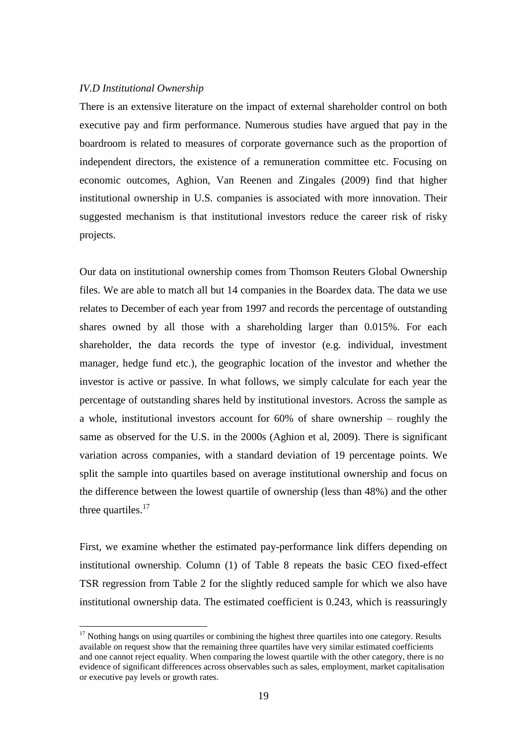## *IV.D Institutional Ownership*

 $\overline{a}$ 

There is an extensive literature on the impact of external shareholder control on both executive pay and firm performance. Numerous studies have argued that pay in the boardroom is related to measures of corporate governance such as the proportion of independent directors, the existence of a remuneration committee etc. Focusing on economic outcomes, Aghion, Van Reenen and Zingales (2009) find that higher institutional ownership in U.S. companies is associated with more innovation. Their suggested mechanism is that institutional investors reduce the career risk of risky projects.

Our data on institutional ownership comes from Thomson Reuters Global Ownership files. We are able to match all but 14 companies in the Boardex data. The data we use relates to December of each year from 1997 and records the percentage of outstanding shares owned by all those with a shareholding larger than 0.015%. For each shareholder, the data records the type of investor (e.g. individual, investment manager, hedge fund etc.), the geographic location of the investor and whether the investor is active or passive. In what follows, we simply calculate for each year the percentage of outstanding shares held by institutional investors. Across the sample as a whole, institutional investors account for 60% of share ownership – roughly the same as observed for the U.S. in the 2000s (Aghion et al, 2009). There is significant variation across companies, with a standard deviation of 19 percentage points. We split the sample into quartiles based on average institutional ownership and focus on the difference between the lowest quartile of ownership (less than 48%) and the other three quartiles. $17$ 

First, we examine whether the estimated pay-performance link differs depending on institutional ownership. Column (1) of Table 8 repeats the basic CEO fixed-effect TSR regression from Table 2 for the slightly reduced sample for which we also have institutional ownership data. The estimated coefficient is 0.243, which is reassuringly

 $17$  Nothing hangs on using quartiles or combining the highest three quartiles into one category. Results available on request show that the remaining three quartiles have very similar estimated coefficients and one cannot reject equality. When comparing the lowest quartile with the other category, there is no evidence of significant differences across observables such as sales, employment, market capitalisation or executive pay levels or growth rates.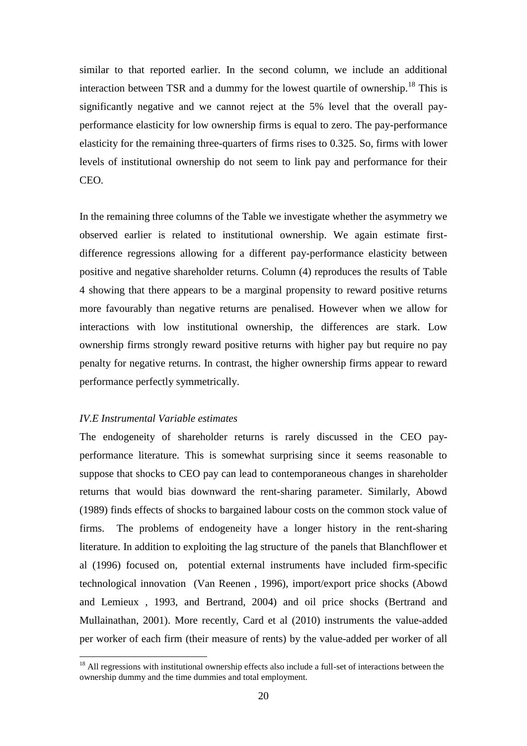similar to that reported earlier. In the second column, we include an additional interaction between TSR and a dummy for the lowest quartile of ownership.<sup>18</sup> This is significantly negative and we cannot reject at the 5% level that the overall payperformance elasticity for low ownership firms is equal to zero. The pay-performance elasticity for the remaining three-quarters of firms rises to 0.325. So, firms with lower levels of institutional ownership do not seem to link pay and performance for their CEO.

In the remaining three columns of the Table we investigate whether the asymmetry we observed earlier is related to institutional ownership. We again estimate firstdifference regressions allowing for a different pay-performance elasticity between positive and negative shareholder returns. Column (4) reproduces the results of Table 4 showing that there appears to be a marginal propensity to reward positive returns more favourably than negative returns are penalised. However when we allow for interactions with low institutional ownership, the differences are stark. Low ownership firms strongly reward positive returns with higher pay but require no pay penalty for negative returns. In contrast, the higher ownership firms appear to reward performance perfectly symmetrically.

#### *IV.E Instrumental Variable estimates*

 $\overline{a}$ 

The endogeneity of shareholder returns is rarely discussed in the CEO payperformance literature. This is somewhat surprising since it seems reasonable to suppose that shocks to CEO pay can lead to contemporaneous changes in shareholder returns that would bias downward the rent-sharing parameter. Similarly, Abowd (1989) finds effects of shocks to bargained labour costs on the common stock value of firms. The problems of endogeneity have a longer history in the rent-sharing literature. In addition to exploiting the lag structure of the panels that Blanchflower et al (1996) focused on, potential external instruments have included firm-specific technological innovation (Van Reenen , 1996), import/export price shocks (Abowd and Lemieux , 1993, and Bertrand, 2004) and oil price shocks (Bertrand and Mullainathan, 2001). More recently, Card et al (2010) instruments the value-added per worker of each firm (their measure of rents) by the value-added per worker of all

 $<sup>18</sup>$  All regressions with institutional ownership effects also include a full-set of interactions between the</sup> ownership dummy and the time dummies and total employment.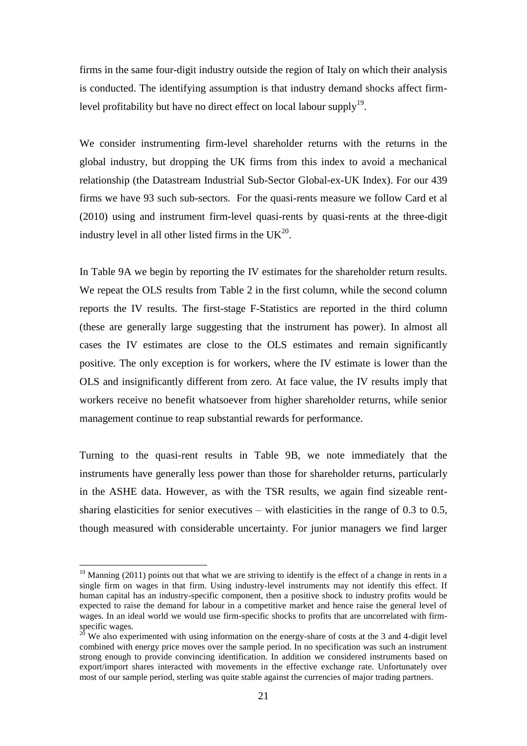firms in the same four-digit industry outside the region of Italy on which their analysis is conducted. The identifying assumption is that industry demand shocks affect firmlevel profitability but have no direct effect on local labour supply<sup>19</sup>.

We consider instrumenting firm-level shareholder returns with the returns in the global industry, but dropping the UK firms from this index to avoid a mechanical relationship (the Datastream Industrial Sub-Sector Global-ex-UK Index). For our 439 firms we have 93 such sub-sectors. For the quasi-rents measure we follow Card et al (2010) using and instrument firm-level quasi-rents by quasi-rents at the three-digit industry level in all other listed firms in the  $UK^{20}$ .

In Table 9A we begin by reporting the IV estimates for the shareholder return results. We repeat the OLS results from Table 2 in the first column, while the second column reports the IV results. The first-stage F-Statistics are reported in the third column (these are generally large suggesting that the instrument has power). In almost all cases the IV estimates are close to the OLS estimates and remain significantly positive. The only exception is for workers, where the IV estimate is lower than the OLS and insignificantly different from zero. At face value, the IV results imply that workers receive no benefit whatsoever from higher shareholder returns, while senior management continue to reap substantial rewards for performance.

Turning to the quasi-rent results in Table 9B, we note immediately that the instruments have generally less power than those for shareholder returns, particularly in the ASHE data. However, as with the TSR results, we again find sizeable rentsharing elasticities for senior executives – with elasticities in the range of  $0.3$  to  $0.5$ , though measured with considerable uncertainty. For junior managers we find larger

 $19$  Manning (2011) points out that what we are striving to identify is the effect of a change in rents in a single firm on wages in that firm. Using industry-level instruments may not identify this effect. If human capital has an industry-specific component, then a positive shock to industry profits would be expected to raise the demand for labour in a competitive market and hence raise the general level of wages. In an ideal world we would use firm-specific shocks to profits that are uncorrelated with firmspecific wages.

 $2^{0}$  We also experimented with using information on the energy-share of costs at the 3 and 4-digit level combined with energy price moves over the sample period. In no specification was such an instrument strong enough to provide convincing identification. In addition we considered instruments based on export/import shares interacted with movements in the effective exchange rate. Unfortunately over most of our sample period, sterling was quite stable against the currencies of major trading partners.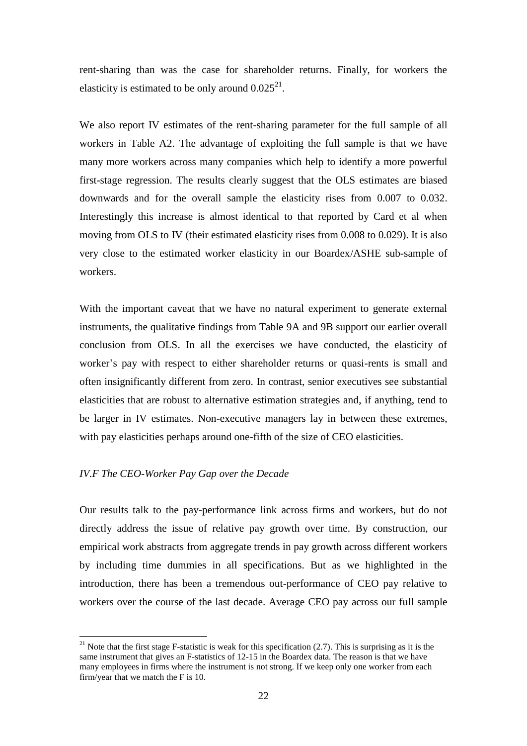rent-sharing than was the case for shareholder returns. Finally, for workers the elasticity is estimated to be only around  $0.025^{21}$ .

We also report IV estimates of the rent-sharing parameter for the full sample of all workers in Table A2. The advantage of exploiting the full sample is that we have many more workers across many companies which help to identify a more powerful first-stage regression. The results clearly suggest that the OLS estimates are biased downwards and for the overall sample the elasticity rises from 0.007 to 0.032. Interestingly this increase is almost identical to that reported by Card et al when moving from OLS to IV (their estimated elasticity rises from 0.008 to 0.029). It is also very close to the estimated worker elasticity in our Boardex/ASHE sub-sample of workers.

With the important caveat that we have no natural experiment to generate external instruments, the qualitative findings from Table 9A and 9B support our earlier overall conclusion from OLS. In all the exercises we have conducted, the elasticity of worker's pay with respect to either shareholder returns or quasi-rents is small and often insignificantly different from zero. In contrast, senior executives see substantial elasticities that are robust to alternative estimation strategies and, if anything, tend to be larger in IV estimates. Non-executive managers lay in between these extremes, with pay elasticities perhaps around one-fifth of the size of CEO elasticities.

#### *IV.F The CEO-Worker Pay Gap over the Decade*

 $\overline{a}$ 

Our results talk to the pay-performance link across firms and workers, but do not directly address the issue of relative pay growth over time. By construction, our empirical work abstracts from aggregate trends in pay growth across different workers by including time dummies in all specifications. But as we highlighted in the introduction, there has been a tremendous out-performance of CEO pay relative to workers over the course of the last decade. Average CEO pay across our full sample

<sup>&</sup>lt;sup>21</sup> Note that the first stage F-statistic is weak for this specification  $(2.7)$ . This is surprising as it is the same instrument that gives an F-statistics of 12-15 in the Boardex data. The reason is that we have many employees in firms where the instrument is not strong. If we keep only one worker from each firm/year that we match the F is 10.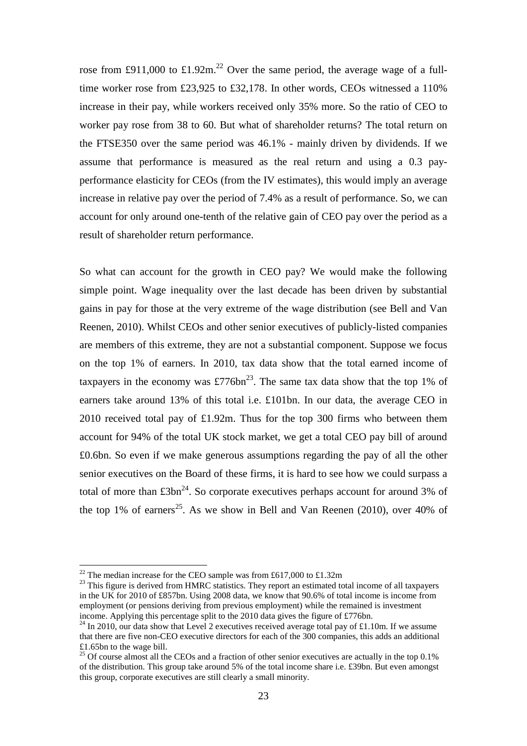rose from £911,000 to £1.92m.<sup>22</sup> Over the same period, the average wage of a fulltime worker rose from £23,925 to £32,178. In other words, CEOs witnessed a 110% increase in their pay, while workers received only 35% more. So the ratio of CEO to worker pay rose from 38 to 60. But what of shareholder returns? The total return on the FTSE350 over the same period was 46.1% - mainly driven by dividends. If we assume that performance is measured as the real return and using a 0.3 payperformance elasticity for CEOs (from the IV estimates), this would imply an average increase in relative pay over the period of 7.4% as a result of performance. So, we can account for only around one-tenth of the relative gain of CEO pay over the period as a result of shareholder return performance.

So what can account for the growth in CEO pay? We would make the following simple point. Wage inequality over the last decade has been driven by substantial gains in pay for those at the very extreme of the wage distribution (see Bell and Van Reenen, 2010). Whilst CEOs and other senior executives of publicly-listed companies are members of this extreme, they are not a substantial component. Suppose we focus on the top 1% of earners. In 2010, tax data show that the total earned income of taxpayers in the economy was £776bn<sup>23</sup>. The same tax data show that the top 1% of earners take around 13% of this total i.e. £101bn. In our data, the average CEO in 2010 received total pay of £1.92m. Thus for the top 300 firms who between them account for 94% of the total UK stock market, we get a total CEO pay bill of around £0.6bn. So even if we make generous assumptions regarding the pay of all the other senior executives on the Board of these firms, it is hard to see how we could surpass a total of more than  $\pounds 3bn^{24}$ . So corporate executives perhaps account for around 3% of the top 1% of earners<sup>25</sup>. As we show in Bell and Van Reenen (2010), over 40% of

<sup>&</sup>lt;sup>22</sup> The median increase for the CEO sample was from £617,000 to £1.32m

 $23$  This figure is derived from HMRC statistics. They report an estimated total income of all taxpayers in the UK for 2010 of £857bn. Using 2008 data, we know that 90.6% of total income is income from employment (or pensions deriving from previous employment) while the remained is investment income. Applying this percentage split to the 2010 data gives the figure of £776bn.

<sup>&</sup>lt;sup>24</sup> In 2010, our data show that Level 2 executives received average total pay of £1.10m. If we assume that there are five non-CEO executive directors for each of the 300 companies, this adds an additional £1.65bn to the wage bill.

<sup>&</sup>lt;sup>25</sup> Of course almost all the CEOs and a fraction of other senior executives are actually in the top  $0.1\%$ of the distribution. This group take around 5% of the total income share i.e. £39bn. But even amongst this group, corporate executives are still clearly a small minority.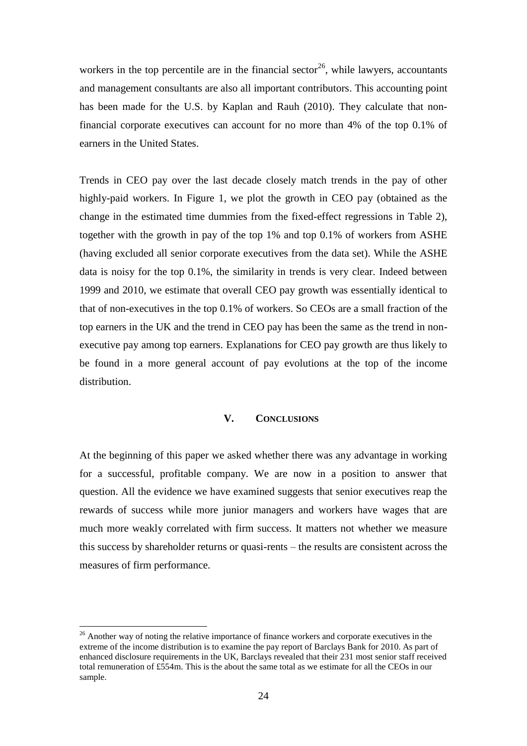workers in the top percentile are in the financial sector<sup>26</sup>, while lawyers, accountants and management consultants are also all important contributors. This accounting point has been made for the U.S. by Kaplan and Rauh (2010). They calculate that nonfinancial corporate executives can account for no more than 4% of the top 0.1% of earners in the United States.

Trends in CEO pay over the last decade closely match trends in the pay of other highly-paid workers. In Figure 1, we plot the growth in CEO pay (obtained as the change in the estimated time dummies from the fixed-effect regressions in Table 2), together with the growth in pay of the top 1% and top 0.1% of workers from ASHE (having excluded all senior corporate executives from the data set). While the ASHE data is noisy for the top 0.1%, the similarity in trends is very clear. Indeed between 1999 and 2010, we estimate that overall CEO pay growth was essentially identical to that of non-executives in the top 0.1% of workers. So CEOs are a small fraction of the top earners in the UK and the trend in CEO pay has been the same as the trend in nonexecutive pay among top earners. Explanations for CEO pay growth are thus likely to be found in a more general account of pay evolutions at the top of the income distribution.

#### **V. CONCLUSIONS**

At the beginning of this paper we asked whether there was any advantage in working for a successful, profitable company. We are now in a position to answer that question. All the evidence we have examined suggests that senior executives reap the rewards of success while more junior managers and workers have wages that are much more weakly correlated with firm success. It matters not whether we measure this success by shareholder returns or quasi-rents – the results are consistent across the measures of firm performance.

<sup>&</sup>lt;sup>26</sup> Another way of noting the relative importance of finance workers and corporate executives in the extreme of the income distribution is to examine the pay report of Barclays Bank for 2010. As part of enhanced disclosure requirements in the UK, Barclays revealed that their 231 most senior staff received total remuneration of £554m. This is the about the same total as we estimate for all the CEOs in our sample.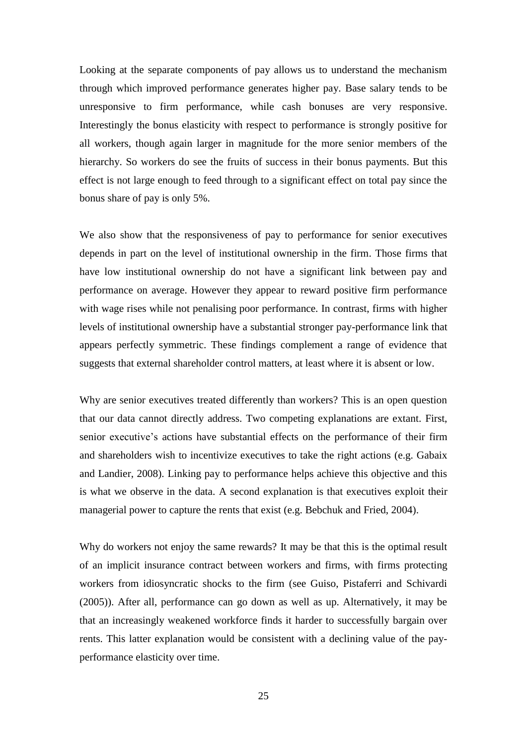Looking at the separate components of pay allows us to understand the mechanism through which improved performance generates higher pay. Base salary tends to be unresponsive to firm performance, while cash bonuses are very responsive. Interestingly the bonus elasticity with respect to performance is strongly positive for all workers, though again larger in magnitude for the more senior members of the hierarchy. So workers do see the fruits of success in their bonus payments. But this effect is not large enough to feed through to a significant effect on total pay since the bonus share of pay is only 5%.

We also show that the responsiveness of pay to performance for senior executives depends in part on the level of institutional ownership in the firm. Those firms that have low institutional ownership do not have a significant link between pay and performance on average. However they appear to reward positive firm performance with wage rises while not penalising poor performance. In contrast, firms with higher levels of institutional ownership have a substantial stronger pay-performance link that appears perfectly symmetric. These findings complement a range of evidence that suggests that external shareholder control matters, at least where it is absent or low.

Why are senior executives treated differently than workers? This is an open question that our data cannot directly address. Two competing explanations are extant. First, senior executive's actions have substantial effects on the performance of their firm and shareholders wish to incentivize executives to take the right actions (e.g. Gabaix and Landier, 2008). Linking pay to performance helps achieve this objective and this is what we observe in the data. A second explanation is that executives exploit their managerial power to capture the rents that exist (e.g. Bebchuk and Fried, 2004).

Why do workers not enjoy the same rewards? It may be that this is the optimal result of an implicit insurance contract between workers and firms, with firms protecting workers from idiosyncratic shocks to the firm (see Guiso, Pistaferri and Schivardi (2005)). After all, performance can go down as well as up. Alternatively, it may be that an increasingly weakened workforce finds it harder to successfully bargain over rents. This latter explanation would be consistent with a declining value of the payperformance elasticity over time.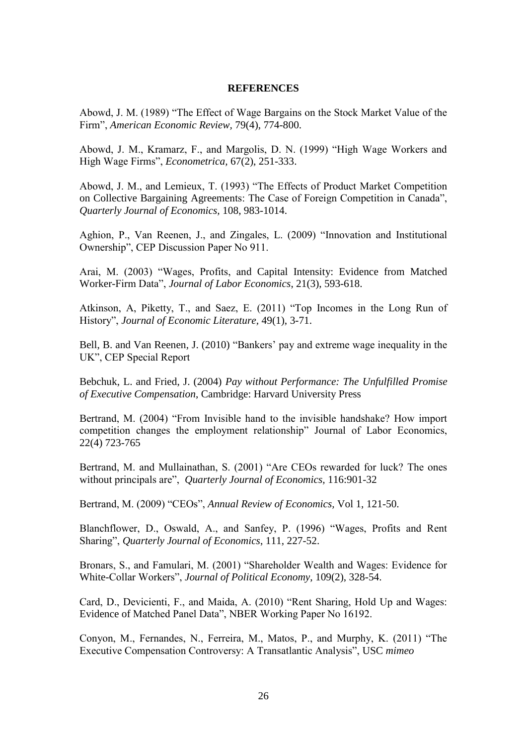#### **REFERENCES**

Abowd, J. M. (1989) "The Effect of Wage Bargains on the Stock Market Value of the Firm", *American Economic Review,* 79(4), 774-800.

Abowd, J. M., Kramarz, F., and Margolis, D. N. (1999) "High Wage Workers and High Wage Firms", *Econometrica,* 67(2), 251-333.

Abowd, J. M., and Lemieux, T. (1993) "The Effects of Product Market Competition on Collective Bargaining Agreements: The Case of Foreign Competition in Canada", *Quarterly Journal of Economics,* 108, 983-1014.

Aghion, P., Van Reenen, J., and Zingales, L. (2009) "Innovation and Institutional Ownership", CEP Discussion Paper No 911.

Arai, M. (2003) "Wages, Profits, and Capital Intensity: Evidence from Matched Worker-Firm Data", *Journal of Labor Economics*, 21(3), 593-618.

Atkinson, A, Piketty, T., and Saez, E. (2011) "Top Incomes in the Long Run of History", *Journal of Economic Literature,* 49(1), 3-71.

Bell, B. and Van Reenen, J. (2010) "Bankers' pay and extreme wage inequality in the UK", CEP Special Report

Bebchuk, L. and Fried, J. (2004) *Pay without Performance: The Unfulfilled Promise of Executive Compensation*, Cambridge: Harvard University Press

Bertrand, M. (2004) "From Invisible hand to the invisible handshake? How import competition changes the employment relationship" Journal of Labor Economics, 22(4) 723-765

Bertrand, M. and Mullainathan, S. (2001) "Are CEOs rewarded for luck? The ones without principals are", *Quarterly Journal of Economics,* 116:901-32

Bertrand, M. (2009) "CEOs", *Annual Review of Economics,* Vol 1, 121-50.

Blanchflower, D., Oswald, A., and Sanfey, P. (1996) "Wages, Profits and Rent Sharing", *Quarterly Journal of Economics*, 111, 227-52.

Bronars, S., and Famulari, M. (2001) "Shareholder Wealth and Wages: Evidence for White-Collar Workers", *Journal of Political Economy*, 109(2), 328-54.

Card, D., Devicienti, F., and Maida, A. (2010) "Rent Sharing, Hold Up and Wages: Evidence of Matched Panel Data", NBER Working Paper No 16192.

Conyon, M., Fernandes, N., Ferreira, M., Matos, P., and Murphy, K. (2011) "The Executive Compensation Controversy: A Transatlantic Analysis", USC *mimeo*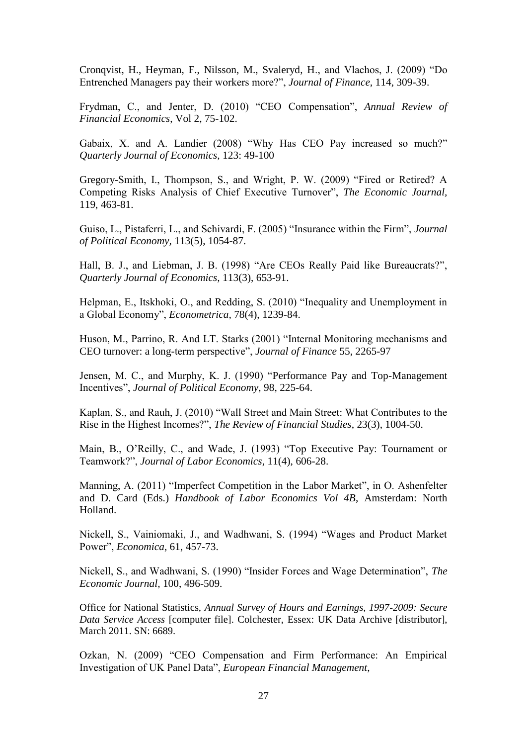Cronqvist, H., Heyman, F., Nilsson, M., Svaleryd, H., and Vlachos, J. (2009) "Do Entrenched Managers pay their workers more?", *Journal of Finance,* 114, 309-39.

Frydman, C., and Jenter, D. (2010) "CEO Compensation", *Annual Review of Financial Economics*, Vol 2, 75-102.

Gabaix, X. and A. Landier (2008) "Why Has CEO Pay increased so much?" *Quarterly Journal of Economics,* 123: 49-100

Gregory-Smith, I., Thompson, S., and Wright, P. W. (2009) "Fired or Retired? A Competing Risks Analysis of Chief Executive Turnover", *The Economic Journal,* 119, 463-81.

Guiso, L., Pistaferri, L., and Schivardi, F. (2005) "Insurance within the Firm", *Journal of Political Economy,* 113(5), 1054-87.

Hall, B. J., and Liebman, J. B. (1998) "Are CEOs Really Paid like Bureaucrats?", *Quarterly Journal of Economics,* 113(3), 653-91.

Helpman, E., Itskhoki, O., and Redding, S. (2010) "Inequality and Unemployment in a Global Economy", *Econometrica,* 78(4), 1239-84.

Huson, M., Parrino, R. And LT. Starks (2001) "Internal Monitoring mechanisms and CEO turnover: a long-term perspective", *Journal of Finance* 55, 2265-97

Jensen, M. C., and Murphy, K. J. (1990) "Performance Pay and Top-Management Incentives", *Journal of Political Economy,* 98, 225-64.

Kaplan, S., and Rauh, J. (2010) "Wall Street and Main Street: What Contributes to the Rise in the Highest Incomes?", *The Review of Financial Studies*, 23(3), 1004-50.

Main, B., O'Reilly, C., and Wade, J. (1993) "Top Executive Pay: Tournament or Teamwork?", *Journal of Labor Economics*, 11(4), 606-28.

Manning, A. (2011) "Imperfect Competition in the Labor Market", in O. Ashenfelter and D. Card (Eds.) *Handbook of Labor Economics Vol 4B*, Amsterdam: North Holland.

Nickell, S., Vainiomaki, J., and Wadhwani, S. (1994) "Wages and Product Market Power", *Economica*, 61, 457-73.

Nickell, S., and Wadhwani, S. (1990) "Insider Forces and Wage Determination", *The Economic Journal,* 100, 496-509.

Office for National Statistics, *Annual Survey of Hours and Earnings, 1997-2009: Secure Data Service Access* [computer file]. Colchester, Essex: UK Data Archive [distributor], March 2011. SN: 6689.

Ozkan, N. (2009) "CEO Compensation and Firm Performance: An Empirical Investigation of UK Panel Data", *European Financial Management*,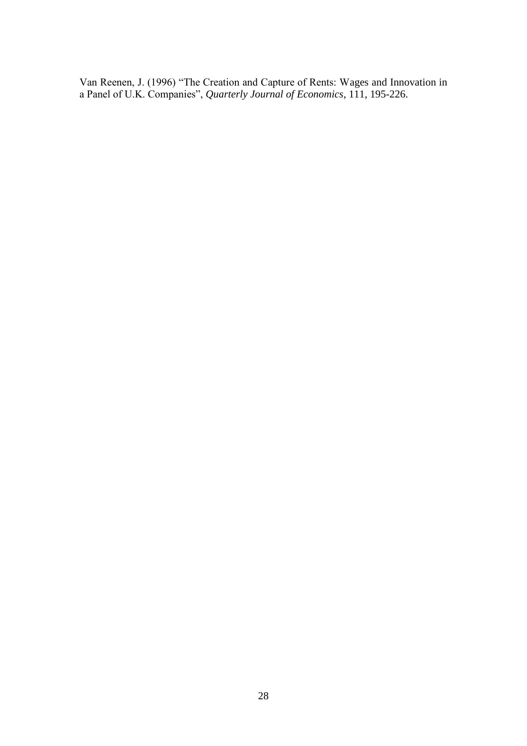Van Reenen, J. (1996) "The Creation and Capture of Rents: Wages and Innovation in a Panel of U.K. Companies", *Quarterly Journal of Economics*, 111, 195-226.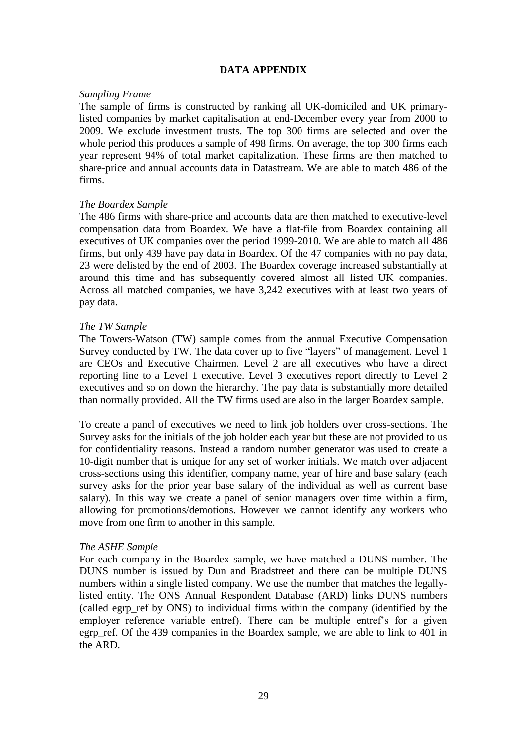## **DATA APPENDIX**

## *Sampling Frame*

The sample of firms is constructed by ranking all UK-domiciled and UK primarylisted companies by market capitalisation at end-December every year from 2000 to 2009. We exclude investment trusts. The top 300 firms are selected and over the whole period this produces a sample of 498 firms. On average, the top 300 firms each year represent 94% of total market capitalization. These firms are then matched to share-price and annual accounts data in Datastream. We are able to match 486 of the firms.

## *The Boardex Sample*

The 486 firms with share-price and accounts data are then matched to executive-level compensation data from Boardex. We have a flat-file from Boardex containing all executives of UK companies over the period 1999-2010. We are able to match all 486 firms, but only 439 have pay data in Boardex. Of the 47 companies with no pay data, 23 were delisted by the end of 2003. The Boardex coverage increased substantially at around this time and has subsequently covered almost all listed UK companies. Across all matched companies, we have 3,242 executives with at least two years of pay data.

## *The TW Sample*

The Towers-Watson (TW) sample comes from the annual Executive Compensation Survey conducted by TW. The data cover up to five "layers" of management. Level 1 are CEOs and Executive Chairmen. Level 2 are all executives who have a direct reporting line to a Level 1 executive. Level 3 executives report directly to Level 2 executives and so on down the hierarchy. The pay data is substantially more detailed than normally provided. All the TW firms used are also in the larger Boardex sample.

To create a panel of executives we need to link job holders over cross-sections. The Survey asks for the initials of the job holder each year but these are not provided to us for confidentiality reasons. Instead a random number generator was used to create a 10-digit number that is unique for any set of worker initials. We match over adjacent cross-sections using this identifier, company name, year of hire and base salary (each survey asks for the prior year base salary of the individual as well as current base salary). In this way we create a panel of senior managers over time within a firm, allowing for promotions/demotions. However we cannot identify any workers who move from one firm to another in this sample.

#### *The ASHE Sample*

For each company in the Boardex sample, we have matched a DUNS number. The DUNS number is issued by Dun and Bradstreet and there can be multiple DUNS numbers within a single listed company. We use the number that matches the legallylisted entity. The ONS Annual Respondent Database (ARD) links DUNS numbers (called egrp\_ref by ONS) to individual firms within the company (identified by the employer reference variable entref). There can be multiple entref's for a given egrp ref. Of the 439 companies in the Boardex sample, we are able to link to 401 in the ARD.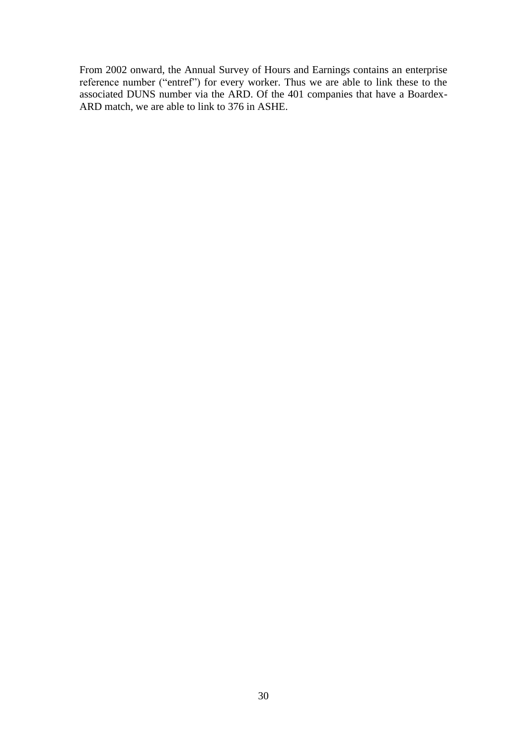From 2002 onward, the Annual Survey of Hours and Earnings contains an enterprise reference number ("entref") for every worker. Thus we are able to link these to the associated DUNS number via the ARD. Of the 401 companies that have a Boardex-ARD match, we are able to link to 376 in ASHE.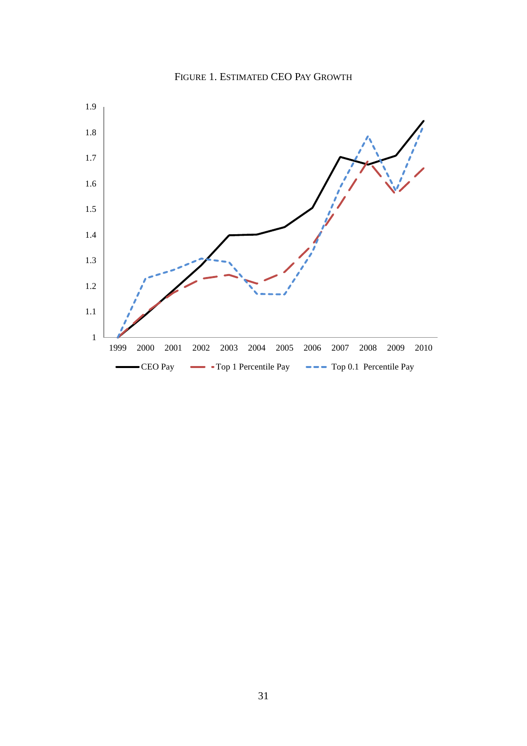

FIGURE 1. ESTIMATED CEO PAY GROWTH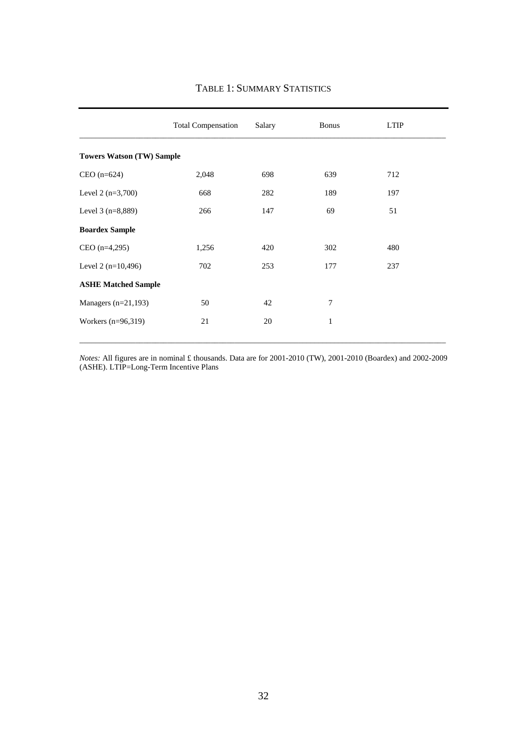|                                  | <b>Total Compensation</b> | Salary | <b>Bonus</b> | <b>LTIP</b> |  |  |  |
|----------------------------------|---------------------------|--------|--------------|-------------|--|--|--|
| <b>Towers Watson (TW) Sample</b> |                           |        |              |             |  |  |  |
| $CEO(n=624)$                     | 2,048                     | 698    | 639          | 712         |  |  |  |
| Level $2(n=3,700)$               | 668                       | 282    | 189          | 197         |  |  |  |
| Level $3(n=8,889)$               | 266                       | 147    | 69           | 51          |  |  |  |
| <b>Boardex Sample</b>            |                           |        |              |             |  |  |  |
| $CEO (n=4,295)$                  | 1,256                     | 420    | 302          | 480         |  |  |  |
| Level 2 $(n=10,496)$             | 702                       | 253    | 177          | 237         |  |  |  |
| <b>ASHE Matched Sample</b>       |                           |        |              |             |  |  |  |
| Managers $(n=21,193)$            | 50                        | 42     | 7            |             |  |  |  |
| Workers $(n=96,319)$             | 21                        | 20     | 1            |             |  |  |  |

## TABLE 1: SUMMARY STATISTICS

*Notes:* All figures are in nominal £ thousands. Data are for 2001-2010 (TW), 2001-2010 (Boardex) and 2002-2009 (ASHE). LTIP=Long-Term Incentive Plans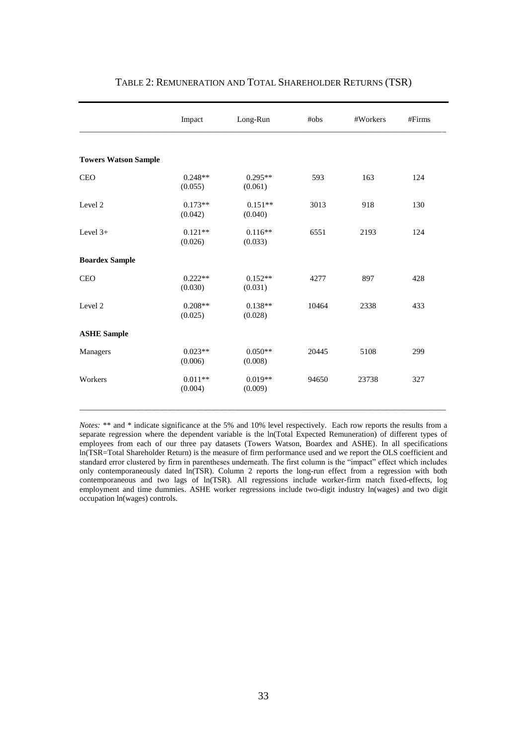|                             | Impact               | Long-Run             | #obs  | #Workers | #Firms |
|-----------------------------|----------------------|----------------------|-------|----------|--------|
|                             |                      |                      |       |          |        |
| <b>Towers Watson Sample</b> |                      |                      |       |          |        |
| <b>CEO</b>                  | $0.248**$<br>(0.055) | $0.295**$<br>(0.061) | 593   | 163      | 124    |
| Level 2                     | $0.173**$<br>(0.042) | $0.151**$<br>(0.040) | 3013  | 918      | 130    |
| Level $3+$                  | $0.121**$<br>(0.026) | $0.116**$<br>(0.033) | 6551  | 2193     | 124    |
| <b>Boardex Sample</b>       |                      |                      |       |          |        |
| <b>CEO</b>                  | $0.222**$<br>(0.030) | $0.152**$<br>(0.031) | 4277  | 897      | 428    |
| Level 2                     | $0.208**$<br>(0.025) | $0.138**$<br>(0.028) | 10464 | 2338     | 433    |
| <b>ASHE Sample</b>          |                      |                      |       |          |        |
| Managers                    | $0.023**$<br>(0.006) | $0.050**$<br>(0.008) | 20445 | 5108     | 299    |
| Workers                     | $0.011**$<br>(0.004) | $0.019**$<br>(0.009) | 94650 | 23738    | 327    |
|                             |                      |                      |       |          |        |

## TABLE 2: REMUNERATION AND TOTAL SHAREHOLDER RETURNS (TSR)

*Notes:* \*\* and \* indicate significance at the 5% and 10% level respectively. Each row reports the results from a separate regression where the dependent variable is the ln(Total Expected Remuneration) of different types of employees from each of our three pay datasets (Towers Watson, Boardex and ASHE). In all specifications ln(TSR=Total Shareholder Return) is the measure of firm performance used and we report the OLS coefficient and standard error clustered by firm in parentheses underneath. The first column is the "impact" effect which includes only contemporaneously dated ln(TSR). Column 2 reports the long-run effect from a regression with both contemporaneous and two lags of ln(TSR). All regressions include worker-firm match fixed-effects, log employment and time dummies. ASHE worker regressions include two-digit industry ln(wages) and two digit occupation ln(wages) controls.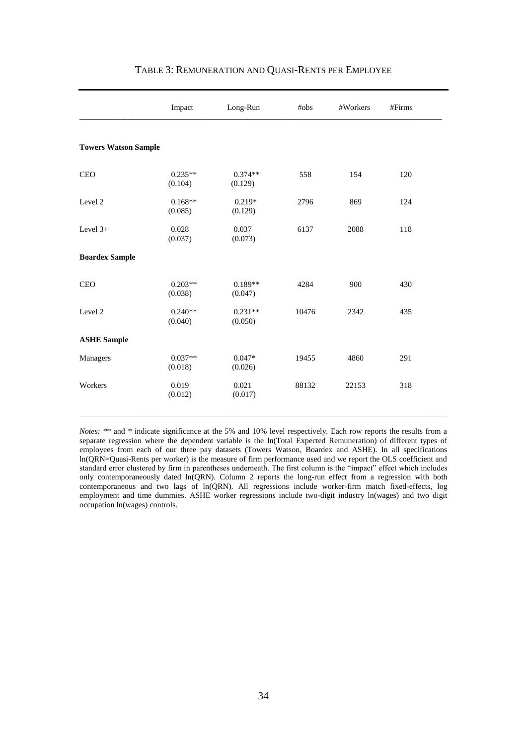|                             | Impact               | Long-Run             | #obs  | #Workers | #Firms |  |
|-----------------------------|----------------------|----------------------|-------|----------|--------|--|
| <b>Towers Watson Sample</b> |                      |                      |       |          |        |  |
| CEO                         | $0.235**$<br>(0.104) | $0.374**$<br>(0.129) | 558   | 154      | 120    |  |
| Level 2                     | $0.168**$<br>(0.085) | $0.219*$<br>(0.129)  | 2796  | 869      | 124    |  |
| Level $3+$                  | 0.028<br>(0.037)     | 0.037<br>(0.073)     | 6137  | 2088     | 118    |  |
| <b>Boardex Sample</b>       |                      |                      |       |          |        |  |
| <b>CEO</b>                  | $0.203**$<br>(0.038) | $0.189**$<br>(0.047) | 4284  | 900      | 430    |  |
| Level 2                     | $0.240**$<br>(0.040) | $0.231**$<br>(0.050) | 10476 | 2342     | 435    |  |
| <b>ASHE Sample</b>          |                      |                      |       |          |        |  |
| Managers                    | $0.037**$<br>(0.018) | $0.047*$<br>(0.026)  | 19455 | 4860     | 291    |  |
| Workers                     | 0.019<br>(0.012)     | 0.021<br>(0.017)     | 88132 | 22153    | 318    |  |

#### TABLE 3: REMUNERATION AND QUASI-RENTS PER EMPLOYEE

*Notes:* \*\* and \* indicate significance at the 5% and 10% level respectively. Each row reports the results from a separate regression where the dependent variable is the ln(Total Expected Remuneration) of different types of employees from each of our three pay datasets (Towers Watson, Boardex and ASHE). In all specifications ln(QRN=Quasi-Rents per worker) is the measure of firm performance used and we report the OLS coefficient and standard error clustered by firm in parentheses underneath. The first column is the "impact" effect which includes only contemporaneously dated ln(QRN). Column 2 reports the long-run effect from a regression with both contemporaneous and two lags of ln(QRN). All regressions include worker-firm match fixed-effects, log employment and time dummies. ASHE worker regressions include two-digit industry ln(wages) and two digit occupation ln(wages) controls.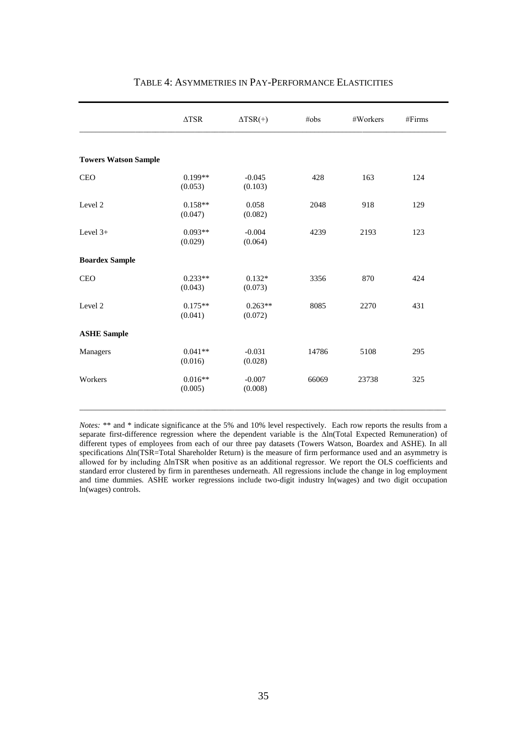|                             | $\Delta \text{TSR}$  | $\Delta$ TSR(+)      | #obs  | #Workers | #Firms |
|-----------------------------|----------------------|----------------------|-------|----------|--------|
|                             |                      |                      |       |          |        |
| <b>Towers Watson Sample</b> |                      |                      |       |          |        |
| <b>CEO</b>                  | $0.199**$<br>(0.053) | $-0.045$<br>(0.103)  | 428   | 163      | 124    |
| Level 2                     | $0.158**$<br>(0.047) | 0.058<br>(0.082)     | 2048  | 918      | 129    |
| Level $3+$                  | $0.093**$<br>(0.029) | $-0.004$<br>(0.064)  | 4239  | 2193     | 123    |
| <b>Boardex Sample</b>       |                      |                      |       |          |        |
| <b>CEO</b>                  | $0.233**$<br>(0.043) | $0.132*$<br>(0.073)  | 3356  | 870      | 424    |
| Level <sub>2</sub>          | $0.175**$<br>(0.041) | $0.263**$<br>(0.072) | 8085  | 2270     | 431    |
| <b>ASHE Sample</b>          |                      |                      |       |          |        |
| Managers                    | $0.041**$<br>(0.016) | $-0.031$<br>(0.028)  | 14786 | 5108     | 295    |
| Workers                     | $0.016**$<br>(0.005) | $-0.007$<br>(0.008)  | 66069 | 23738    | 325    |
|                             |                      |                      |       |          |        |

## TABLE 4: ASYMMETRIES IN PAY-PERFORMANCE ELASTICITIES

*Notes:* \*\* and \* indicate significance at the 5% and 10% level respectively. Each row reports the results from a separate first-difference regression where the dependent variable is the Δln(Total Expected Remuneration) of different types of employees from each of our three pay datasets (Towers Watson, Boardex and ASHE). In all specifications Δln(TSR=Total Shareholder Return) is the measure of firm performance used and an asymmetry is allowed for by including ΔlnTSR when positive as an additional regressor. We report the OLS coefficients and standard error clustered by firm in parentheses underneath. All regressions include the change in log employment and time dummies. ASHE worker regressions include two-digit industry ln(wages) and two digit occupation ln(wages) controls.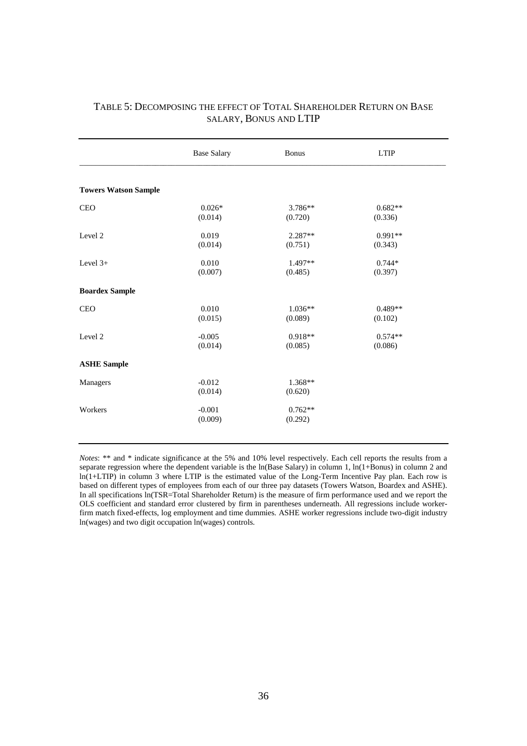|                             | <b>Base Salary</b> | Bonus     | <b>LTIP</b> |
|-----------------------------|--------------------|-----------|-------------|
| <b>Towers Watson Sample</b> |                    |           |             |
|                             |                    |           |             |
| <b>CEO</b>                  | $0.026*$           | $3.786**$ | $0.682**$   |
|                             | (0.014)            | (0.720)   | (0.336)     |
| Level 2                     | 0.019              | $2.287**$ | $0.991**$   |
|                             | (0.014)            | (0.751)   | (0.343)     |
| Level $3+$                  | 0.010              | $1.497**$ | $0.744*$    |
|                             | (0.007)            | (0.485)   | (0.397)     |
| <b>Boardex Sample</b>       |                    |           |             |
| <b>CEO</b>                  | 0.010              | $1.036**$ | $0.489**$   |
|                             | (0.015)            | (0.089)   | (0.102)     |
| Level 2                     | $-0.005$           | $0.918**$ | $0.574**$   |
|                             | (0.014)            | (0.085)   | (0.086)     |
| <b>ASHE Sample</b>          |                    |           |             |
| Managers                    | $-0.012$           | $1.368**$ |             |
|                             | (0.014)            | (0.620)   |             |
| Workers                     | $-0.001$           | $0.762**$ |             |
|                             | (0.009)            | (0.292)   |             |
|                             |                    |           |             |

## TABLE 5: DECOMPOSING THE EFFECT OF TOTAL SHAREHOLDER RETURN ON BASE SALARY, BONUS AND LTIP

*Notes*: \*\* and \* indicate significance at the 5% and 10% level respectively. Each cell reports the results from a separate regression where the dependent variable is the  $ln(Base$  Salary) in column 1,  $ln(1+Bonus)$  in column 2 and ln(1+LTIP) in column 3 where LTIP is the estimated value of the Long-Term Incentive Pay plan. Each row is based on different types of employees from each of our three pay datasets (Towers Watson, Boardex and ASHE). In all specifications  $ln(TSR=Total Shareholder Return)$  is the measure of firm performance used and we report the OLS coefficient and standard error clustered by firm in parentheses underneath. All regressions include workerfirm match fixed-effects, log employment and time dummies. ASHE worker regressions include two-digit industry ln(wages) and two digit occupation ln(wages) controls.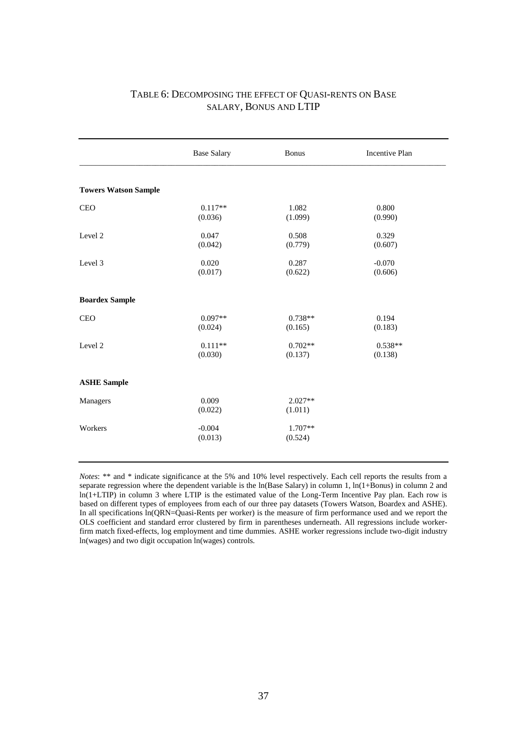## TABLE 6: DECOMPOSING THE EFFECT OF QUASI-RENTS ON BASE SALARY, BONUS AND LTIP

|                             | <b>Base Salary</b>   | <b>Bonus</b>         | Incentive Plan       |
|-----------------------------|----------------------|----------------------|----------------------|
| <b>Towers Watson Sample</b> |                      |                      |                      |
| <b>CEO</b>                  | $0.117**$<br>(0.036) | 1.082<br>(1.099)     | 0.800<br>(0.990)     |
| Level 2                     | 0.047<br>(0.042)     | 0.508<br>(0.779)     | 0.329<br>(0.607)     |
| Level 3                     | 0.020<br>(0.017)     | 0.287<br>(0.622)     | $-0.070$<br>(0.606)  |
| <b>Boardex Sample</b>       |                      |                      |                      |
| <b>CEO</b>                  | $0.097**$<br>(0.024) | $0.738**$<br>(0.165) | 0.194<br>(0.183)     |
| Level <sub>2</sub>          | $0.111**$<br>(0.030) | $0.702**$<br>(0.137) | $0.538**$<br>(0.138) |
| <b>ASHE Sample</b>          |                      |                      |                      |
| Managers                    | 0.009<br>(0.022)     | $2.027**$<br>(1.011) |                      |
| Workers                     | $-0.004$<br>(0.013)  | 1.707**<br>(0.524)   |                      |

*Notes*: \*\* and \* indicate significance at the 5% and 10% level respectively. Each cell reports the results from a separate regression where the dependent variable is the ln(Base Salary) in column 1, ln(1+Bonus) in column 2 and ln(1+LTIP) in column 3 where LTIP is the estimated value of the Long-Term Incentive Pay plan. Each row is based on different types of employees from each of our three pay datasets (Towers Watson, Boardex and ASHE). In all specifications  $ln(QRN=Quasi-Rents per worker)$  is the measure of firm performance used and we report the OLS coefficient and standard error clustered by firm in parentheses underneath. All regressions include workerfirm match fixed-effects, log employment and time dummies. ASHE worker regressions include two-digit industry ln(wages) and two digit occupation ln(wages) controls.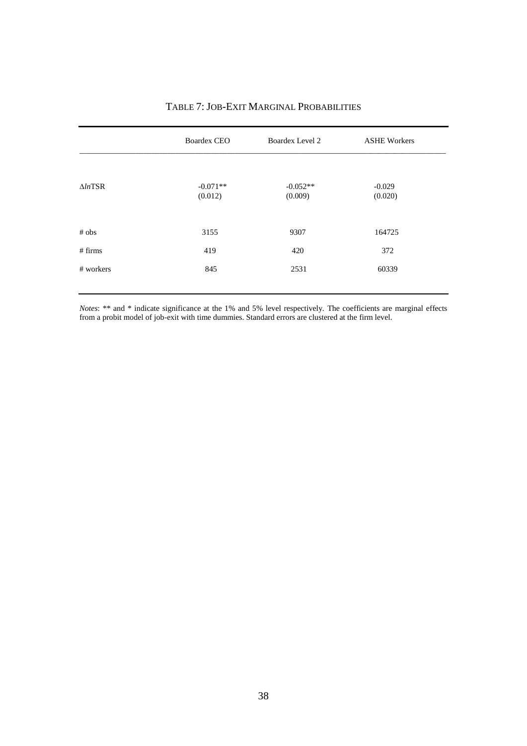|                    | <b>Boardex CEO</b><br>Boardex Level 2 |                       | <b>ASHE Workers</b> |  |
|--------------------|---------------------------------------|-----------------------|---------------------|--|
| $\triangle ln$ TSR | $-0.071**$<br>(0.012)                 | $-0.052**$<br>(0.009) | $-0.029$<br>(0.020) |  |
| # obs              | 3155                                  | 9307                  | 164725              |  |
| # firms            | 419                                   | 420                   | 372                 |  |
| # workers          | 845                                   | 2531                  | 60339               |  |

# TABLE 7: JOB-EXIT MARGINAL PROBABILITIES

*Notes*: \*\* and \* indicate significance at the 1% and 5% level respectively. The coefficients are marginal effects from a probit model of job-exit with time dummies. Standard errors are clustered at the firm level.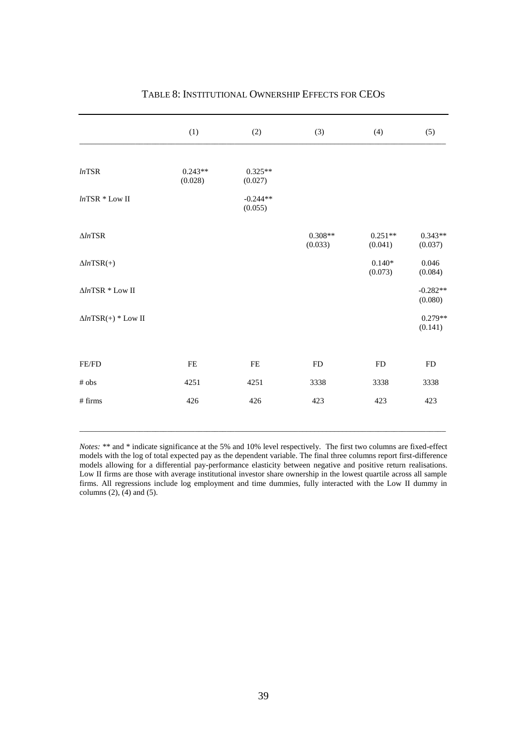|                                                                   | (1)       | (2)                   | (3)                  | (4)                  | (5)                   |
|-------------------------------------------------------------------|-----------|-----------------------|----------------------|----------------------|-----------------------|
| lnTSR                                                             | $0.243**$ | $0.325**$             |                      |                      |                       |
|                                                                   | (0.028)   | (0.027)               |                      |                      |                       |
| $lnTSR * Low II$                                                  |           | $-0.244**$<br>(0.055) |                      |                      |                       |
| $\Delta ln\text{TSR}$                                             |           |                       | $0.308**$<br>(0.033) | $0.251**$<br>(0.041) | $0.343**$<br>(0.037)  |
| $\Delta lnTSR(+)$                                                 |           |                       |                      | $0.140*$<br>(0.073)  | 0.046<br>(0.084)      |
| $\Delta ln \text{TSR} * \text{Low II}$                            |           |                       |                      |                      | $-0.282**$<br>(0.080) |
| $\Delta lnTSR(+)$ * Low II                                        |           |                       |                      |                      | $0.279**$<br>(0.141)  |
| $\ensuremath{\mathsf{FE}}\xspace/\ensuremath{\mathsf{FD}}\xspace$ | FE        | FE                    | <b>FD</b>            | ${\rm FD}$           | <b>FD</b>             |
| $\#$ obs                                                          | 4251      | 4251                  | 3338                 | 3338                 | 3338                  |
| # firms                                                           | 426       | 426                   | 423                  | 423                  | 423                   |

## TABLE 8: INSTITUTIONAL OWNERSHIP EFFECTS FOR CEOS

*Notes:* \*\* and \* indicate significance at the 5% and 10% level respectively. The first two columns are fixed-effect models with the log of total expected pay as the dependent variable. The final three columns report first-difference models allowing for a differential pay-performance elasticity between negative and positive return realisations. Low II firms are those with average institutional investor share ownership in the lowest quartile across all sample firms. All regressions include log employment and time dummies, fully interacted with the Low II dummy in columns  $(2)$ ,  $(4)$  and  $(5)$ .

 $\_$  ,  $\_$  ,  $\_$  ,  $\_$  ,  $\_$  ,  $\_$  ,  $\_$  ,  $\_$  ,  $\_$  ,  $\_$  ,  $\_$  ,  $\_$  ,  $\_$  ,  $\_$  ,  $\_$  ,  $\_$  ,  $\_$  ,  $\_$  ,  $\_$  ,  $\_$  ,  $\_$  ,  $\_$  ,  $\_$  ,  $\_$  ,  $\_$  ,  $\_$  ,  $\_$  ,  $\_$  ,  $\_$  ,  $\_$  ,  $\_$  ,  $\_$  ,  $\_$  ,  $\_$  ,  $\_$  ,  $\_$  ,  $\_$  ,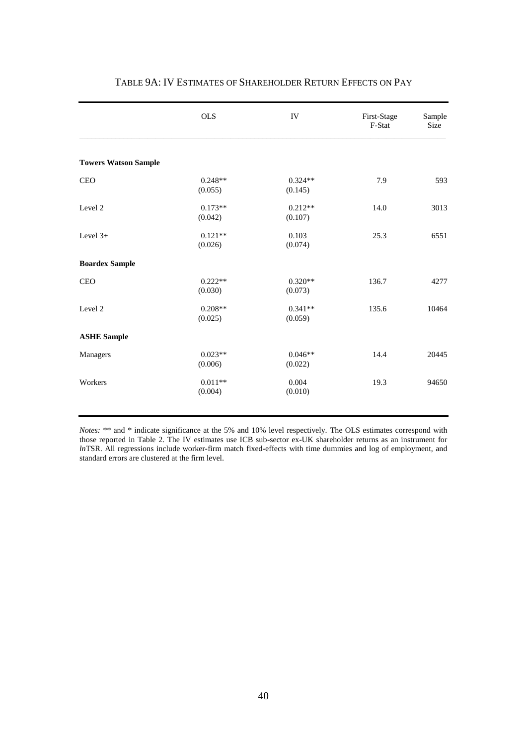|                             | <b>OLS</b>           | IV                   | First-Stage<br>F-Stat | Sample<br>Size |
|-----------------------------|----------------------|----------------------|-----------------------|----------------|
| <b>Towers Watson Sample</b> |                      |                      |                       |                |
| <b>CEO</b>                  | $0.248**$<br>(0.055) | $0.324**$<br>(0.145) | 7.9                   | 593            |
| Level 2                     | $0.173**$<br>(0.042) | $0.212**$<br>(0.107) | 14.0                  | 3013           |
| Level $3+$                  | $0.121**$<br>(0.026) | 0.103<br>(0.074)     | 25.3                  | 6551           |
| <b>Boardex Sample</b>       |                      |                      |                       |                |
| <b>CEO</b>                  | $0.222**$<br>(0.030) | $0.320**$<br>(0.073) | 136.7                 | 4277           |
| Level 2                     | $0.208**$<br>(0.025) | $0.341**$<br>(0.059) | 135.6                 | 10464          |
| <b>ASHE Sample</b>          |                      |                      |                       |                |
| Managers                    | $0.023**$<br>(0.006) | $0.046**$<br>(0.022) | 14.4                  | 20445          |
| Workers                     | $0.011**$<br>(0.004) | 0.004<br>(0.010)     | 19.3                  | 94650          |
|                             |                      |                      |                       |                |

## TABLE 9A: IV ESTIMATES OF SHAREHOLDER RETURN EFFECTS ON PAY

*Notes:* \*\* and \* indicate significance at the 5% and 10% level respectively. The OLS estimates correspond with those reported in Table 2. The IV estimates use ICB sub-sector ex-UK shareholder returns as an instrument for *ln*TSR. All regressions include worker-firm match fixed-effects with time dummies and log of employment, and standard errors are clustered at the firm level.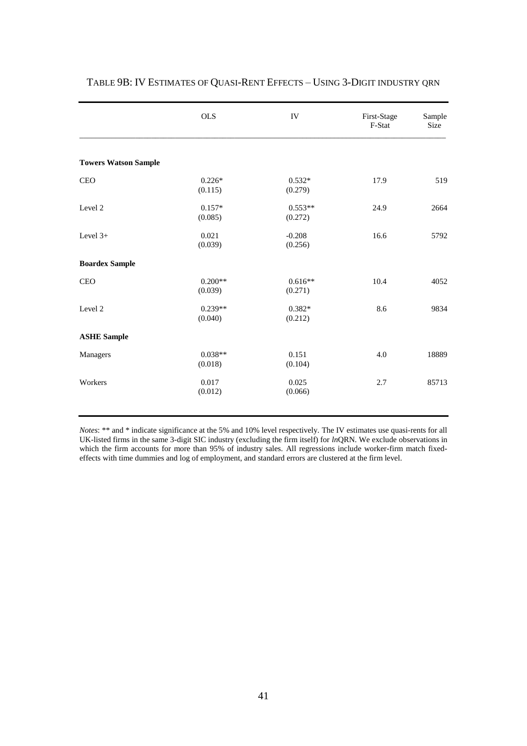|                             | <b>OLS</b>           | IV                   | First-Stage<br>F-Stat | Sample<br>Size |
|-----------------------------|----------------------|----------------------|-----------------------|----------------|
| <b>Towers Watson Sample</b> |                      |                      |                       |                |
| <b>CEO</b>                  | $0.226*$<br>(0.115)  | $0.532*$<br>(0.279)  | 17.9                  | 519            |
| Level 2                     | $0.157*$<br>(0.085)  | $0.553**$<br>(0.272) | 24.9                  | 2664           |
| Level 3+                    | 0.021<br>(0.039)     | $-0.208$<br>(0.256)  | 16.6                  | 5792           |
| <b>Boardex Sample</b>       |                      |                      |                       |                |
| <b>CEO</b>                  | $0.200**$<br>(0.039) | $0.616**$<br>(0.271) | 10.4                  | 4052           |
| Level 2                     | $0.239**$<br>(0.040) | $0.382*$<br>(0.212)  | 8.6                   | 9834           |
| <b>ASHE Sample</b>          |                      |                      |                       |                |
| Managers                    | $0.038**$<br>(0.018) | 0.151<br>(0.104)     | 4.0                   | 18889          |
| Workers                     | 0.017<br>(0.012)     | 0.025<br>(0.066)     | 2.7                   | 85713          |
|                             |                      |                      |                       |                |

## TABLE 9B: IV ESTIMATES OF QUASI-RENT EFFECTS – USING 3-DIGIT INDUSTRY QRN

*Notes*: \*\* and \* indicate significance at the 5% and 10% level respectively. The IV estimates use quasi-rents for all UK-listed firms in the same 3-digit SIC industry (excluding the firm itself) for *ln*QRN. We exclude observations in which the firm accounts for more than 95% of industry sales. All regressions include worker-firm match fixedeffects with time dummies and log of employment, and standard errors are clustered at the firm level.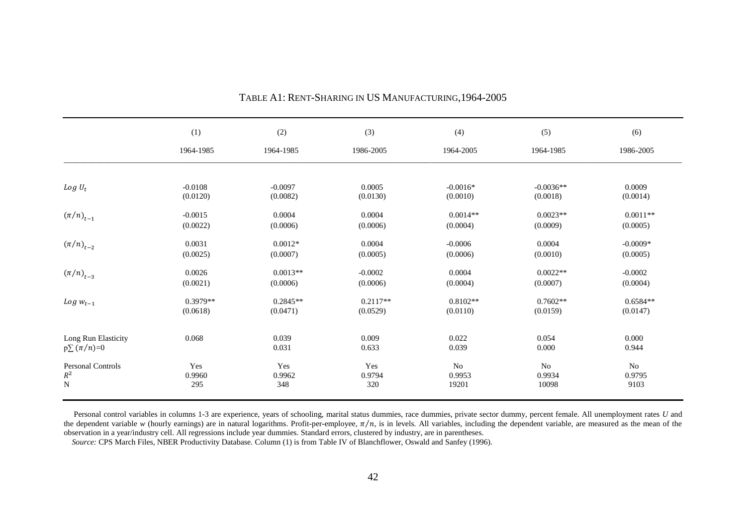|                            | (1)        | (2)        | (3)        | (4)        | (5)         | (6)        |
|----------------------------|------------|------------|------------|------------|-------------|------------|
|                            | 1964-1985  | 1964-1985  | 1986-2005  | 1964-2005  | 1964-1985   | 1986-2005  |
|                            |            |            |            |            |             |            |
| $Log U_t$                  | $-0.0108$  | $-0.0097$  | 0.0005     | $-0.0016*$ | $-0.0036**$ | 0.0009     |
|                            | (0.0120)   | (0.0082)   | (0.0130)   | (0.0010)   | (0.0018)    | (0.0014)   |
| $(\pi/n)_{t-1}$            | $-0.0015$  | 0.0004     | 0.0004     | $0.0014**$ | $0.0023**$  | $0.0011**$ |
|                            | (0.0022)   | (0.0006)   | (0.0006)   | (0.0004)   | (0.0009)    | (0.0005)   |
| $(\pi/n)_{t-2}$            | 0.0031     | $0.0012*$  | 0.0004     | $-0.0006$  | 0.0004      | $-0.0009*$ |
|                            | (0.0025)   | (0.0007)   | (0.0005)   | (0.0006)   | (0.0010)    | (0.0005)   |
| $\left(\pi/n\right)_{t-3}$ | 0.0026     | $0.0013**$ | $-0.0002$  | 0.0004     | $0.0022**$  | $-0.0002$  |
|                            | (0.0021)   | (0.0006)   | (0.0006)   | (0.0004)   | (0.0007)    | (0.0004)   |
| $Log w_{t-1}$              | $0.3979**$ | $0.2845**$ | $0.2117**$ | $0.8102**$ | $0.7602**$  | $0.6584**$ |
|                            | (0.0618)   | (0.0471)   | (0.0529)   | (0.0110)   | (0.0159)    | (0.0147)   |
| Long Run Elasticity        | 0.068      | 0.039      | 0.009      | 0.022      | 0.054       | 0.000      |
| $p\sum(\pi/n)=0$           |            | 0.031      | 0.633      | 0.039      | 0.000       | 0.944      |
| <b>Personal Controls</b>   | Yes        | Yes        | Yes        | No         | No          | No         |
| $\mathbb{R}^2$             | 0.9960     | 0.9962     | 0.9794     | 0.9953     | 0.9934      | 0.9795     |
| N                          | 295        | 348        | 320        | 19201      | 10098       | 9103       |

# TABLE A1: RENT-SHARING IN US MANUFACTURING,1964-2005

Personal control variables in columns 1-3 are experience, years of schooling, marital status dummies, race dummies, private sector dummy, percent female. All unemployment rates *U* and the dependent variable  $w$  (hourly earnings) are in natural logarithms. Profit-per-employee,  $\pi/n$ , is in levels. All variables, including the dependent variable, are measured as the mean of the observation in a year/industry cell. All regressions include year dummies. Standard errors, clustered by industry, are in parentheses.

*Source:* CPS March Files, NBER Productivity Database. Column (1) is from Table IV of Blanchflower, Oswald and Sanfey (1996).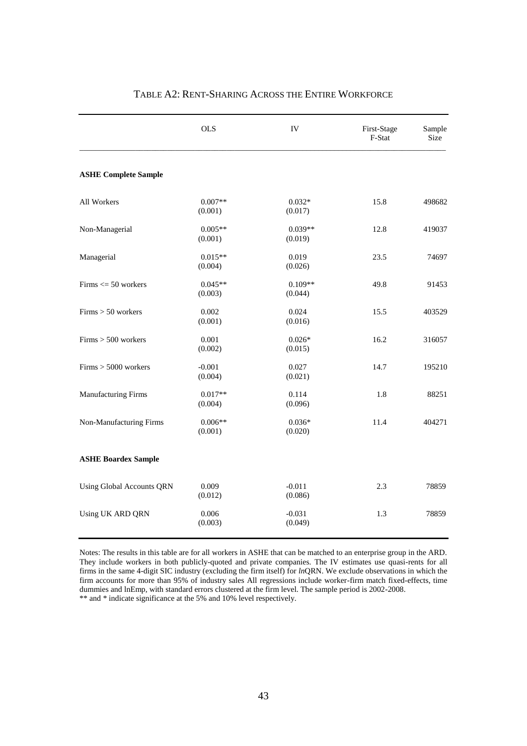|                             | <b>OLS</b>           | IV                   | First-Stage<br>F-Stat | Sample<br>Size |
|-----------------------------|----------------------|----------------------|-----------------------|----------------|
| <b>ASHE Complete Sample</b> |                      |                      |                       |                |
| All Workers                 | $0.007**$<br>(0.001) | $0.032*$<br>(0.017)  | 15.8                  | 498682         |
| Non-Managerial              | $0.005**$<br>(0.001) | $0.039**$<br>(0.019) | 12.8                  | 419037         |
| Managerial                  | $0.015**$<br>(0.004) | 0.019<br>(0.026)     | 23.5                  | 74697          |
| $Firms \leq 50$ workers     | $0.045**$<br>(0.003) | $0.109**$<br>(0.044) | 49.8                  | 91453          |
| $Firms > 50$ workers        | 0.002<br>(0.001)     | 0.024<br>(0.016)     | 15.5                  | 403529         |
| $Firms > 500$ workers       | 0.001<br>(0.002)     | $0.026*$<br>(0.015)  | 16.2                  | 316057         |
| $Firms > 5000$ workers      | $-0.001$<br>(0.004)  | 0.027<br>(0.021)     | 14.7                  | 195210         |
| Manufacturing Firms         | $0.017**$<br>(0.004) | 0.114<br>(0.096)     | 1.8                   | 88251          |
| Non-Manufacturing Firms     | $0.006**$<br>(0.001) | $0.036*$<br>(0.020)  | 11.4                  | 404271         |
| <b>ASHE Boardex Sample</b>  |                      |                      |                       |                |
| Using Global Accounts QRN   | 0.009<br>(0.012)     | $-0.011$<br>(0.086)  | 2.3                   | 78859          |
| Using UK ARD QRN            | 0.006<br>(0.003)     | $-0.031$<br>(0.049)  | 1.3                   | 78859          |

# TABLE A2: RENT-SHARING ACROSS THE ENTIRE WORKFORCE

Notes: The results in this table are for all workers in ASHE that can be matched to an enterprise group in the ARD. They include workers in both publicly-quoted and private companies. The IV estimates use quasi-rents for all firms in the same 4-digit SIC industry (excluding the firm itself) for *ln*QRN. We exclude observations in which the firm accounts for more than 95% of industry sales All regressions include worker-firm match fixed-effects, time dummies and lnEmp, with standard errors clustered at the firm level. The sample period is 2002-2008. \*\* and \* indicate significance at the 5% and 10% level respectively.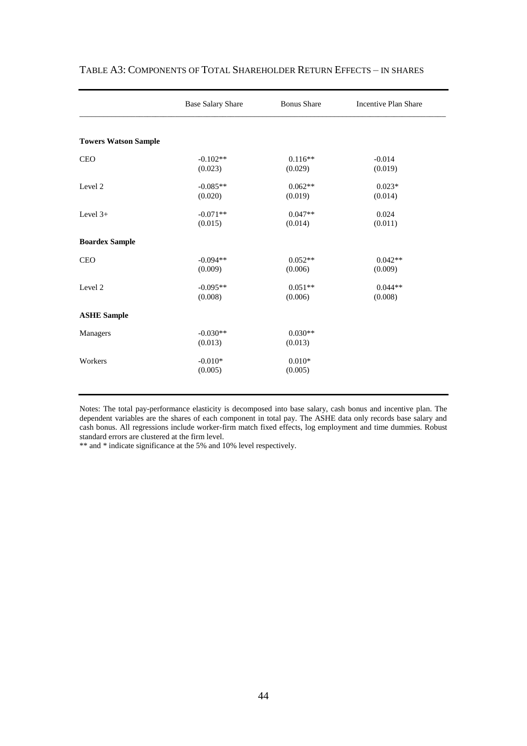|                             | <b>Base Salary Share</b> | <b>Bonus Share</b>   | <b>Incentive Plan Share</b> |
|-----------------------------|--------------------------|----------------------|-----------------------------|
|                             |                          |                      |                             |
| <b>Towers Watson Sample</b> |                          |                      |                             |
| <b>CEO</b>                  | $-0.102**$<br>(0.023)    | $0.116**$<br>(0.029) | $-0.014$<br>(0.019)         |
| Level 2                     | $-0.085**$<br>(0.020)    | $0.062**$<br>(0.019) | $0.023*$<br>(0.014)         |
| Level $3+$                  | $-0.071**$<br>(0.015)    | $0.047**$<br>(0.014) | 0.024<br>(0.011)            |
| <b>Boardex Sample</b>       |                          |                      |                             |
| <b>CEO</b>                  | $-0.094**$<br>(0.009)    | $0.052**$<br>(0.006) | $0.042**$<br>(0.009)        |
| Level 2                     | $-0.095**$<br>(0.008)    | $0.051**$<br>(0.006) | $0.044**$<br>(0.008)        |
| <b>ASHE Sample</b>          |                          |                      |                             |
| Managers                    | $-0.030**$<br>(0.013)    | $0.030**$<br>(0.013) |                             |
| Workers                     | $-0.010*$<br>(0.005)     | $0.010*$<br>(0.005)  |                             |
|                             |                          |                      |                             |

## TABLE A3: COMPONENTS OF TOTAL SHAREHOLDER RETURN EFFECTS – IN SHARES

Notes: The total pay-performance elasticity is decomposed into base salary, cash bonus and incentive plan. The dependent variables are the shares of each component in total pay. The ASHE data only records base salary and cash bonus. All regressions include worker-firm match fixed effects, log employment and time dummies. Robust standard errors are clustered at the firm level.

\*\* and \* indicate significance at the 5% and 10% level respectively.